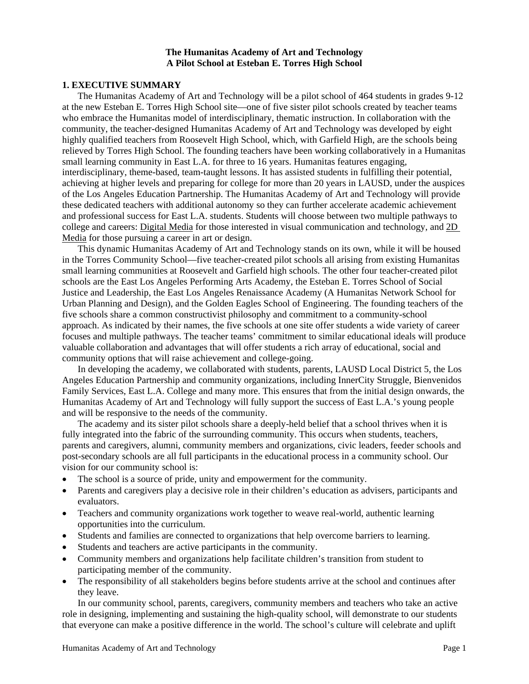#### **The Humanitas Academy of Art and Technology A Pilot School at Esteban E. Torres High School**

# **1. EXECUTIVE SUMMARY**

The Humanitas Academy of Art and Technology will be a pilot school of 464 students in grades 9-12 at the new Esteban E. Torres High School site—one of five sister pilot schools created by teacher teams who embrace the Humanitas model of interdisciplinary, thematic instruction. In collaboration with the community, the teacher-designed Humanitas Academy of Art and Technology was developed by eight highly qualified teachers from Roosevelt High School, which, with Garfield High, are the schools being relieved by Torres High School. The founding teachers have been working collaboratively in a Humanitas small learning community in East L.A. for three to 16 years. Humanitas features engaging, interdisciplinary, theme-based, team-taught lessons. It has assisted students in fulfilling their potential, achieving at higher levels and preparing for college for more than 20 years in LAUSD, under the auspices of the Los Angeles Education Partnership. The Humanitas Academy of Art and Technology will provide these dedicated teachers with additional autonomy so they can further accelerate academic achievement and professional success for East L.A. students. Students will choose between two multiple pathways to college and careers: Digital Media for those interested in visual communication and technology, and 2D Media for those pursuing a career in art or design.

This dynamic Humanitas Academy of Art and Technology stands on its own, while it will be housed in the Torres Community School—five teacher-created pilot schools all arising from existing Humanitas small learning communities at Roosevelt and Garfield high schools. The other four teacher-created pilot schools are the East Los Angeles Performing Arts Academy, the Esteban E. Torres School of Social Justice and Leadership, the East Los Angeles Renaissance Academy (A Humanitas Network School for Urban Planning and Design), and the Golden Eagles School of Engineering. The founding teachers of the five schools share a common constructivist philosophy and commitment to a community-school approach. As indicated by their names, the five schools at one site offer students a wide variety of career focuses and multiple pathways. The teacher teams' commitment to similar educational ideals will produce valuable collaboration and advantages that will offer students a rich array of educational, social and community options that will raise achievement and college-going.

In developing the academy, we collaborated with students, parents, LAUSD Local District 5, the Los Angeles Education Partnership and community organizations, including InnerCity Struggle, Bienvenidos Family Services, East L.A. College and many more. This ensures that from the initial design onwards, the Humanitas Academy of Art and Technology will fully support the success of East L.A.'s young people and will be responsive to the needs of the community.

The academy and its sister pilot schools share a deeply-held belief that a school thrives when it is fully integrated into the fabric of the surrounding community. This occurs when students, teachers, parents and caregivers, alumni, community members and organizations, civic leaders, feeder schools and post-secondary schools are all full participants in the educational process in a community school. Our vision for our community school is:

- The school is a source of pride, unity and empowerment for the community.
- Parents and caregivers play a decisive role in their children's education as advisers, participants and evaluators.
- Teachers and community organizations work together to weave real-world, authentic learning opportunities into the curriculum.
- Students and families are connected to organizations that help overcome barriers to learning.
- Students and teachers are active participants in the community.
- Community members and organizations help facilitate children's transition from student to participating member of the community.
- The responsibility of all stakeholders begins before students arrive at the school and continues after they leave.

In our community school, parents, caregivers, community members and teachers who take an active role in designing, implementing and sustaining the high-quality school, will demonstrate to our students that everyone can make a positive difference in the world. The school's culture will celebrate and uplift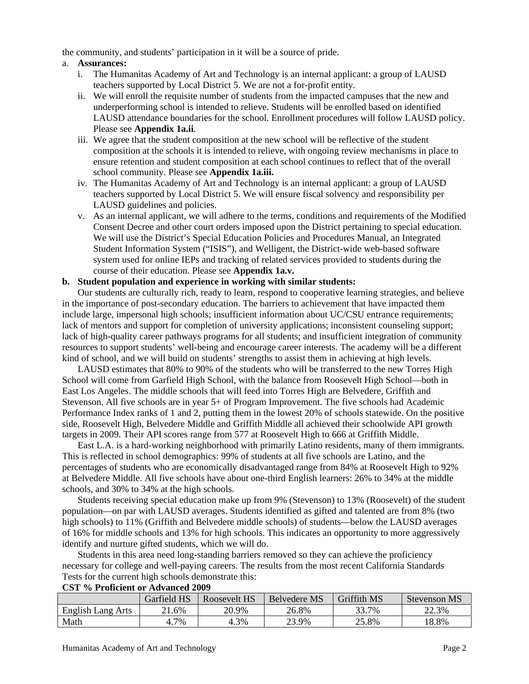the community, and students' participation in it will be a source of pride.

## a. **Assurances:**

- i. The Humanitas Academy of Art and Technology is an internal applicant: a group of LAUSD teachers supported by Local District 5. We are not a for-profit entity.
- ii. We will enroll the requisite number of students from the impacted campuses that the new and underperforming school is intended to relieve. Students will be enrolled based on identified LAUSD attendance boundaries for the school. Enrollment procedures will follow LAUSD policy. Please see **Appendix 1a.ii**.
- iii. We agree that the student composition at the new school will be reflective of the student composition at the schools it is intended to relieve, with ongoing review mechanisms in place to ensure retention and student composition at each school continues to reflect that of the overall school community. Please see **Appendix 1a.iii.**
- iv. The Humanitas Academy of Art and Technology is an internal applicant: a group of LAUSD teachers supported by Local District 5. We will ensure fiscal solvency and responsibility per LAUSD guidelines and policies.
- v. As an internal applicant, we will adhere to the terms, conditions and requirements of the Modified Consent Decree and other court orders imposed upon the District pertaining to special education. We will use the District's Special Education Policies and Procedures Manual, an Integrated Student Information System ("ISIS"), and Welligent, the District-wide web-based software system used for online IEPs and tracking of related services provided to students during the course of their education. Please see **Appendix 1a.v.**

## **b. Student population and experience in working with similar students:**

Our students are culturally rich, ready to learn, respond to cooperative learning strategies, and believe in the importance of post-secondary education. The barriers to achievement that have impacted them include large, impersonal high schools; insufficient information about UC/CSU entrance requirements; lack of mentors and support for completion of university applications; inconsistent counseling support; lack of high-quality career pathways programs for all students; and insufficient integration of community resources to support students' well-being and encourage career interests. The academy will be a different kind of school, and we will build on students' strengths to assist them in achieving at high levels.

LAUSD estimates that 80% to 90% of the students who will be transferred to the new Torres High School will come from Garfield High School, with the balance from Roosevelt High School—both in East Los Angeles. The middle schools that will feed into Torres High are Belvedere, Griffith and Stevenson. All five schools are in year 5+ of Program Improvement. The five schools had Academic Performance Index ranks of 1 and 2, putting them in the lowest 20% of schools statewide. On the positive side, Roosevelt High, Belvedere Middle and Griffith Middle all achieved their schoolwide API growth targets in 2009. Their API scores range from 577 at Roosevelt High to 666 at Griffith Middle.

East L.A. is a hard-working neighborhood with primarily Latino residents, many of them immigrants. This is reflected in school demographics: 99% of students at all five schools are Latino, and the percentages of students who are economically disadvantaged range from 84% at Roosevelt High to 92% at Belvedere Middle. All five schools have about one-third English learners: 26% to 34% at the middle schools, and 30% to 34% at the high schools.

Students receiving special education make up from 9% (Stevenson) to 13% (Roosevelt) of the student population—on par with LAUSD averages. Students identified as gifted and talented are from 8% (two high schools) to 11% (Griffith and Belvedere middle schools) of students—below the LAUSD averages of 16% for middle schools and 13% for high schools. This indicates an opportunity to more aggressively identify and nurture gifted students, which we will do.

Students in this area need long-standing barriers removed so they can achieve the proficiency necessary for college and well-paying careers. The results from the most recent California Standards Tests for the current high schools demonstrate this:

|                   | Garfield HS | Roosevelt HS | Belvedere MS | Griffith MS | <b>Stevenson MS</b> |
|-------------------|-------------|--------------|--------------|-------------|---------------------|
| English Lang Arts | $1.6\%$     | 20.9%        | 26.8%        | 33.7%       | 22.3%               |
| Math              | 4.7%        | 4.3%         | 23.9%        | 25.8%       | 8.8%                |

#### **CST % Proficient or Advanced 2009**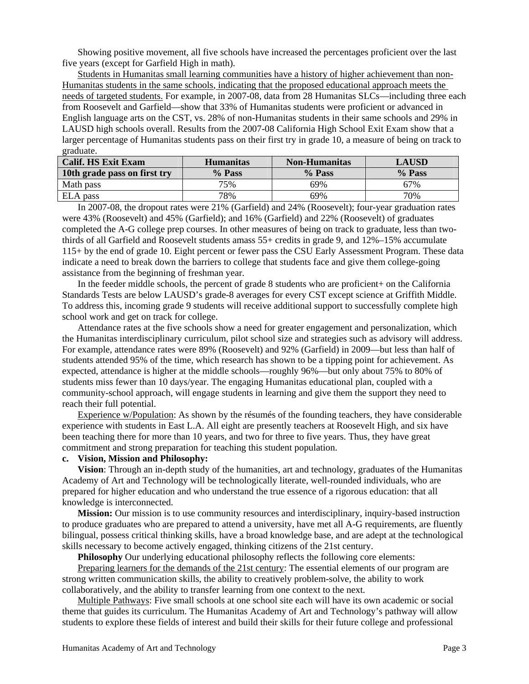Showing positive movement, all five schools have increased the percentages proficient over the last five years (except for Garfield High in math).

Students in Humanitas small learning communities have a history of higher achievement than non-Humanitas students in the same schools, indicating that the proposed educational approach meets the needs of targeted students. For example, in 2007-08, data from 28 Humanitas SLCs—including three each from Roosevelt and Garfield—show that 33% of Humanitas students were proficient or advanced in English language arts on the CST, vs. 28% of non-Humanitas students in their same schools and 29% in LAUSD high schools overall. Results from the 2007-08 California High School Exit Exam show that a larger percentage of Humanitas students pass on their first try in grade 10, a measure of being on track to graduate.

| <b>Calif. HS Exit Exam</b>   | <b>Humanitas</b> | <b>Non-Humanitas</b> | <b>LAUSD</b> |
|------------------------------|------------------|----------------------|--------------|
| 10th grade pass on first try | % Pass           | % Pass               | % Pass       |
| Math pass                    | 75%              | 69%                  | 67%          |
| ELA pass                     | 78%              | 69%                  | 70%          |

In 2007-08, the dropout rates were 21% (Garfield) and 24% (Roosevelt); four-year graduation rates were 43% (Roosevelt) and 45% (Garfield); and 16% (Garfield) and 22% (Roosevelt) of graduates completed the A-G college prep courses. In other measures of being on track to graduate, less than twothirds of all Garfield and Roosevelt students amass 55+ credits in grade 9, and 12%–15% accumulate 115+ by the end of grade 10. Eight percent or fewer pass the CSU Early Assessment Program. These data indicate a need to break down the barriers to college that students face and give them college-going assistance from the beginning of freshman year.

In the feeder middle schools, the percent of grade 8 students who are proficient+ on the California Standards Tests are below LAUSD's grade-8 averages for every CST except science at Griffith Middle. To address this, incoming grade 9 students will receive additional support to successfully complete high school work and get on track for college.

Attendance rates at the five schools show a need for greater engagement and personalization, which the Humanitas interdisciplinary curriculum, pilot school size and strategies such as advisory will address. For example, attendance rates were 89% (Roosevelt) and 92% (Garfield) in 2009—but less than half of students attended 95% of the time, which research has shown to be a tipping point for achievement. As expected, attendance is higher at the middle schools—roughly 96%—but only about 75% to 80% of students miss fewer than 10 days/year. The engaging Humanitas educational plan, coupled with a community-school approach, will engage students in learning and give them the support they need to reach their full potential.

Experience w/Population: As shown by the résumés of the founding teachers, they have considerable experience with students in East L.A. All eight are presently teachers at Roosevelt High, and six have been teaching there for more than 10 years, and two for three to five years. Thus, they have great commitment and strong preparation for teaching this student population.

## **c. Vision, Mission and Philosophy:**

**Vision**: Through an in-depth study of the humanities, art and technology, graduates of the Humanitas Academy of Art and Technology will be technologically literate, well-rounded individuals, who are prepared for higher education and who understand the true essence of a rigorous education: that all knowledge is interconnected.

**Mission:** Our mission is to use community resources and interdisciplinary, inquiry-based instruction to produce graduates who are prepared to attend a university, have met all A-G requirements, are fluently bilingual, possess critical thinking skills, have a broad knowledge base, and are adept at the technological skills necessary to become actively engaged, thinking citizens of the 21st century.

**Philosophy** Our underlying educational philosophy reflects the following core elements:

Preparing learners for the demands of the 21st century: The essential elements of our program are strong written communication skills, the ability to creatively problem-solve, the ability to work collaboratively, and the ability to transfer learning from one context to the next.

Multiple Pathways: Five small schools at one school site each will have its own academic or social theme that guides its curriculum. The Humanitas Academy of Art and Technology's pathway will allow students to explore these fields of interest and build their skills for their future college and professional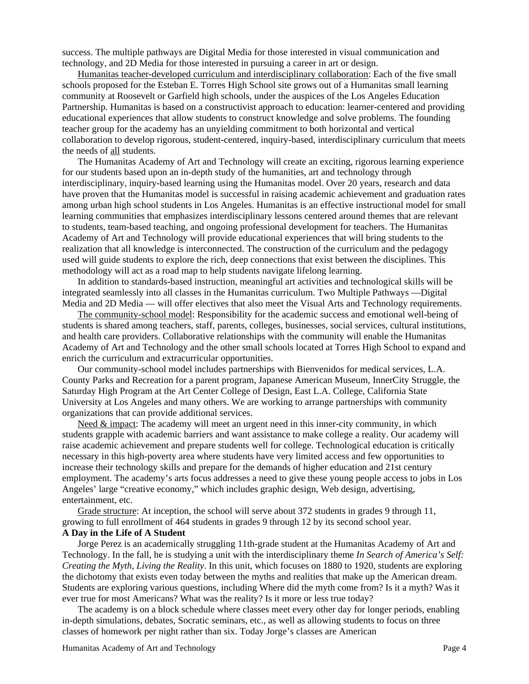success. The multiple pathways are Digital Media for those interested in visual communication and technology, and 2D Media for those interested in pursuing a career in art or design.

Humanitas teacher-developed curriculum and interdisciplinary collaboration: Each of the five small schools proposed for the Esteban E. Torres High School site grows out of a Humanitas small learning community at Roosevelt or Garfield high schools, under the auspices of the Los Angeles Education Partnership. Humanitas is based on a constructivist approach to education: learner-centered and providing educational experiences that allow students to construct knowledge and solve problems. The founding teacher group for the academy has an unyielding commitment to both horizontal and vertical collaboration to develop rigorous, student-centered, inquiry-based, interdisciplinary curriculum that meets the needs of all students.

The Humanitas Academy of Art and Technology will create an exciting, rigorous learning experience for our students based upon an in-depth study of the humanities, art and technology through interdisciplinary, inquiry-based learning using the Humanitas model. Over 20 years, research and data have proven that the Humanitas model is successful in raising academic achievement and graduation rates among urban high school students in Los Angeles. Humanitas is an effective instructional model for small learning communities that emphasizes interdisciplinary lessons centered around themes that are relevant to students, team-based teaching, and ongoing professional development for teachers. The Humanitas Academy of Art and Technology will provide educational experiences that will bring students to the realization that all knowledge is interconnected. The construction of the curriculum and the pedagogy used will guide students to explore the rich, deep connections that exist between the disciplines. This methodology will act as a road map to help students navigate lifelong learning.

In addition to standards-based instruction, meaningful art activities and technological skills will be integrated seamlessly into all classes in the Humanitas curriculum. Two Multiple Pathways —Digital Media and 2D Media — will offer electives that also meet the Visual Arts and Technology requirements.

The community-school model: Responsibility for the academic success and emotional well-being of students is shared among teachers, staff, parents, colleges, businesses, social services, cultural institutions, and health care providers. Collaborative relationships with the community will enable the Humanitas Academy of Art and Technology and the other small schools located at Torres High School to expand and enrich the curriculum and extracurricular opportunities.

Our community-school model includes partnerships with Bienvenidos for medical services, L.A. County Parks and Recreation for a parent program, Japanese American Museum, InnerCity Struggle, the Saturday High Program at the Art Center College of Design, East L.A. College, California State University at Los Angeles and many others. We are working to arrange partnerships with community organizations that can provide additional services.

Need & impact: The academy will meet an urgent need in this inner-city community, in which students grapple with academic barriers and want assistance to make college a reality. Our academy will raise academic achievement and prepare students well for college. Technological education is critically necessary in this high-poverty area where students have very limited access and few opportunities to increase their technology skills and prepare for the demands of higher education and 21st century employment. The academy's arts focus addresses a need to give these young people access to jobs in Los Angeles' large "creative economy," which includes graphic design, Web design, advertising, entertainment, etc.

Grade structure: At inception, the school will serve about 372 students in grades 9 through 11, growing to full enrollment of 464 students in grades 9 through 12 by its second school year. **A Day in the Life of A Student**

Jorge Perez is an academically struggling 11th-grade student at the Humanitas Academy of Art and Technology. In the fall, he is studying a unit with the interdisciplinary theme *In Search of America's Self: Creating the Myth, Living the Reality*. In this unit, which focuses on 1880 to 1920, students are exploring the dichotomy that exists even today between the myths and realities that make up the American dream. Students are exploring various questions, including Where did the myth come from? Is it a myth? Was it ever true for most Americans? What was the reality? Is it more or less true today?

The academy is on a block schedule where classes meet every other day for longer periods, enabling in-depth simulations, debates, Socratic seminars, etc., as well as allowing students to focus on three classes of homework per night rather than six. Today Jorge's classes are American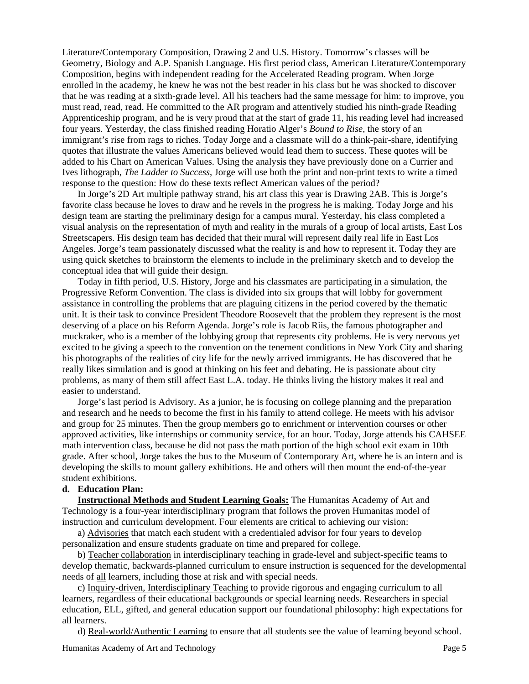Literature/Contemporary Composition, Drawing 2 and U.S. History. Tomorrow's classes will be Geometry, Biology and A.P. Spanish Language. His first period class, American Literature/Contemporary Composition, begins with independent reading for the Accelerated Reading program. When Jorge enrolled in the academy, he knew he was not the best reader in his class but he was shocked to discover that he was reading at a sixth-grade level. All his teachers had the same message for him: to improve, you must read, read, read. He committed to the AR program and attentively studied his ninth-grade Reading Apprenticeship program, and he is very proud that at the start of grade 11, his reading level had increased four years. Yesterday, the class finished reading Horatio Alger's *Bound to Rise*, the story of an immigrant's rise from rags to riches. Today Jorge and a classmate will do a think-pair-share, identifying quotes that illustrate the values Americans believed would lead them to success. These quotes will be added to his Chart on American Values. Using the analysis they have previously done on a Currier and Ives lithograph, *The Ladder to Success*, Jorge will use both the print and non-print texts to write a timed response to the question: How do these texts reflect American values of the period?

In Jorge's 2D Art multiple pathway strand, his art class this year is Drawing 2AB. This is Jorge's favorite class because he loves to draw and he revels in the progress he is making. Today Jorge and his design team are starting the preliminary design for a campus mural. Yesterday, his class completed a visual analysis on the representation of myth and reality in the murals of a group of local artists, East Los Streetscapers. His design team has decided that their mural will represent daily real life in East Los Angeles. Jorge's team passionately discussed what the reality is and how to represent it. Today they are using quick sketches to brainstorm the elements to include in the preliminary sketch and to develop the conceptual idea that will guide their design.

Today in fifth period, U.S. History, Jorge and his classmates are participating in a simulation, the Progressive Reform Convention. The class is divided into six groups that will lobby for government assistance in controlling the problems that are plaguing citizens in the period covered by the thematic unit. It is their task to convince President Theodore Roosevelt that the problem they represent is the most deserving of a place on his Reform Agenda. Jorge's role is Jacob Riis, the famous photographer and muckraker, who is a member of the lobbying group that represents city problems. He is very nervous yet excited to be giving a speech to the convention on the tenement conditions in New York City and sharing his photographs of the realities of city life for the newly arrived immigrants. He has discovered that he really likes simulation and is good at thinking on his feet and debating. He is passionate about city problems, as many of them still affect East L.A. today. He thinks living the history makes it real and easier to understand.

Jorge's last period is Advisory. As a junior, he is focusing on college planning and the preparation and research and he needs to become the first in his family to attend college. He meets with his advisor and group for 25 minutes. Then the group members go to enrichment or intervention courses or other approved activities, like internships or community service, for an hour. Today, Jorge attends his CAHSEE math intervention class, because he did not pass the math portion of the high school exit exam in 10th grade. After school, Jorge takes the bus to the Museum of Contemporary Art, where he is an intern and is developing the skills to mount gallery exhibitions. He and others will then mount the end-of-the-year student exhibitions.

## **d. Education Plan:**

**Instructional Methods and Student Learning Goals:** The Humanitas Academy of Art and Technology is a four-year interdisciplinary program that follows the proven Humanitas model of instruction and curriculum development. Four elements are critical to achieving our vision:

a) Advisories that match each student with a credentialed advisor for four years to develop personalization and ensure students graduate on time and prepared for college.

b) Teacher collaboration in interdisciplinary teaching in grade-level and subject-specific teams to develop thematic, backwards-planned curriculum to ensure instruction is sequenced for the developmental needs of all learners, including those at risk and with special needs.

c) Inquiry-driven, Interdisciplinary Teaching to provide rigorous and engaging curriculum to all learners, regardless of their educational backgrounds or special learning needs. Researchers in special education, ELL, gifted, and general education support our foundational philosophy: high expectations for all learners.

d) Real-world/Authentic Learning to ensure that all students see the value of learning beyond school.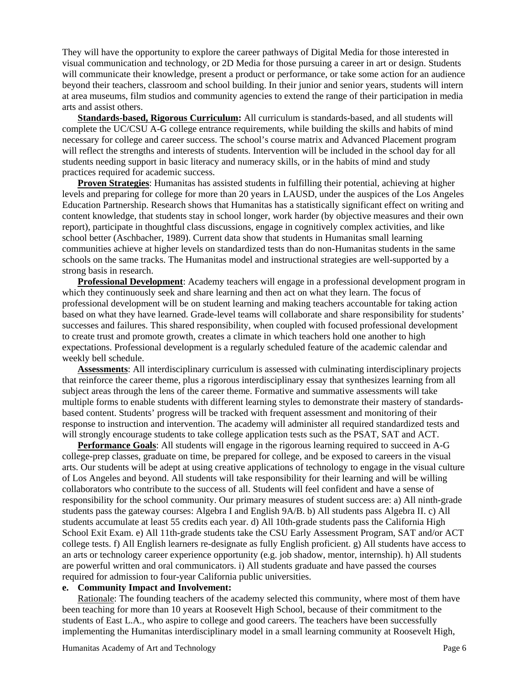They will have the opportunity to explore the career pathways of Digital Media for those interested in visual communication and technology, or 2D Media for those pursuing a career in art or design. Students will communicate their knowledge, present a product or performance, or take some action for an audience beyond their teachers, classroom and school building. In their junior and senior years, students will intern at area museums, film studios and community agencies to extend the range of their participation in media arts and assist others.

**Standards-based, Rigorous Curriculum:** All curriculum is standards-based, and all students will complete the UC/CSU A-G college entrance requirements, while building the skills and habits of mind necessary for college and career success. The school's course matrix and Advanced Placement program will reflect the strengths and interests of students. Intervention will be included in the school day for all students needing support in basic literacy and numeracy skills, or in the habits of mind and study practices required for academic success.

**Proven Strategies**: Humanitas has assisted students in fulfilling their potential, achieving at higher levels and preparing for college for more than 20 years in LAUSD, under the auspices of the Los Angeles Education Partnership. Research shows that Humanitas has a statistically significant effect on writing and content knowledge, that students stay in school longer, work harder (by objective measures and their own report), participate in thoughtful class discussions, engage in cognitively complex activities, and like school better (Aschbacher, 1989). Current data show that students in Humanitas small learning communities achieve at higher levels on standardized tests than do non-Humanitas students in the same schools on the same tracks. The Humanitas model and instructional strategies are well-supported by a strong basis in research.

**Professional Development**: Academy teachers will engage in a professional development program in which they continuously seek and share learning and then act on what they learn. The focus of professional development will be on student learning and making teachers accountable for taking action based on what they have learned. Grade-level teams will collaborate and share responsibility for students' successes and failures. This shared responsibility, when coupled with focused professional development to create trust and promote growth, creates a climate in which teachers hold one another to high expectations. Professional development is a regularly scheduled feature of the academic calendar and weekly bell schedule.

**Assessments**: All interdisciplinary curriculum is assessed with culminating interdisciplinary projects that reinforce the career theme, plus a rigorous interdisciplinary essay that synthesizes learning from all subject areas through the lens of the career theme. Formative and summative assessments will take multiple forms to enable students with different learning styles to demonstrate their mastery of standardsbased content. Students' progress will be tracked with frequent assessment and monitoring of their response to instruction and intervention. The academy will administer all required standardized tests and will strongly encourage students to take college application tests such as the PSAT, SAT and ACT.

**Performance Goals**: All students will engage in the rigorous learning required to succeed in A-G college-prep classes, graduate on time, be prepared for college, and be exposed to careers in the visual arts. Our students will be adept at using creative applications of technology to engage in the visual culture of Los Angeles and beyond. All students will take responsibility for their learning and will be willing collaborators who contribute to the success of all. Students will feel confident and have a sense of responsibility for the school community. Our primary measures of student success are: a) All ninth-grade students pass the gateway courses: Algebra I and English 9A/B. b) All students pass Algebra II. c) All students accumulate at least 55 credits each year. d) All 10th-grade students pass the California High School Exit Exam. e) All 11th-grade students take the CSU Early Assessment Program, SAT and/or ACT college tests. f) All English learners re-designate as fully English proficient. g) All students have access to an arts or technology career experience opportunity (e.g. job shadow, mentor, internship). h) All students are powerful written and oral communicators. i) All students graduate and have passed the courses required for admission to four-year California public universities.

#### **e. Community Impact and Involvement:**

Rationale: The founding teachers of the academy selected this community, where most of them have been teaching for more than 10 years at Roosevelt High School, because of their commitment to the students of East L.A., who aspire to college and good careers. The teachers have been successfully implementing the Humanitas interdisciplinary model in a small learning community at Roosevelt High,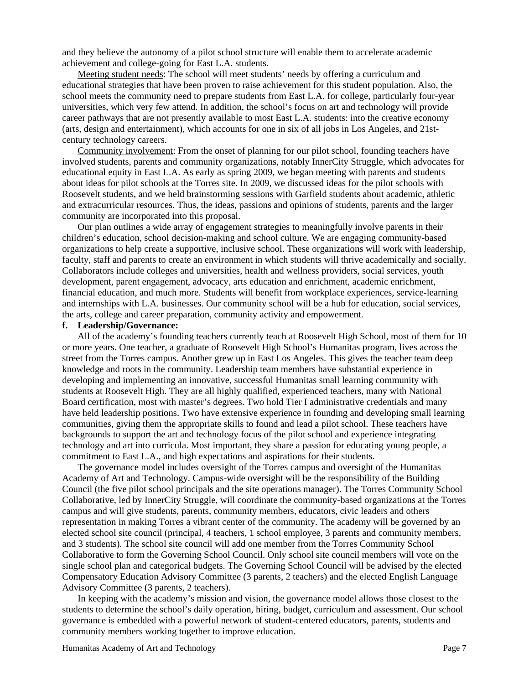and they believe the autonomy of a pilot school structure will enable them to accelerate academic achievement and college-going for East L.A. students.

Meeting student needs: The school will meet students' needs by offering a curriculum and educational strategies that have been proven to raise achievement for this student population. Also, the school meets the community need to prepare students from East L.A. for college, particularly four-year universities, which very few attend. In addition, the school's focus on art and technology will provide career pathways that are not presently available to most East L.A. students: into the creative economy (arts, design and entertainment), which accounts for one in six of all jobs in Los Angeles, and 21stcentury technology careers.

Community involvement: From the onset of planning for our pilot school, founding teachers have involved students, parents and community organizations, notably InnerCity Struggle, which advocates for educational equity in East L.A. As early as spring 2009, we began meeting with parents and students about ideas for pilot schools at the Torres site. In 2009, we discussed ideas for the pilot schools with Roosevelt students, and we held brainstorming sessions with Garfield students about academic, athletic and extracurricular resources. Thus, the ideas, passions and opinions of students, parents and the larger community are incorporated into this proposal.

Our plan outlines a wide array of engagement strategies to meaningfully involve parents in their children's education, school decision-making and school culture. We are engaging community-based organizations to help create a supportive, inclusive school. These organizations will work with leadership, faculty, staff and parents to create an environment in which students will thrive academically and socially. Collaborators include colleges and universities, health and wellness providers, social services, youth development, parent engagement, advocacy, arts education and enrichment, academic enrichment, financial education, and much more. Students will benefit from workplace experiences, service-learning and internships with L.A. businesses. Our community school will be a hub for education, social services, the arts, college and career preparation, community activity and empowerment.

#### **f. Leadership/Governance:**

All of the academy's founding teachers currently teach at Roosevelt High School, most of them for 10 or more years. One teacher, a graduate of Roosevelt High School's Humanitas program, lives across the street from the Torres campus. Another grew up in East Los Angeles. This gives the teacher team deep knowledge and roots in the community. Leadership team members have substantial experience in developing and implementing an innovative, successful Humanitas small learning community with students at Roosevelt High. They are all highly qualified, experienced teachers, many with National Board certification, most with master's degrees. Two hold Tier I administrative credentials and many have held leadership positions. Two have extensive experience in founding and developing small learning communities, giving them the appropriate skills to found and lead a pilot school. These teachers have backgrounds to support the art and technology focus of the pilot school and experience integrating technology and art into curricula. Most important, they share a passion for educating young people, a commitment to East L.A., and high expectations and aspirations for their students.

The governance model includes oversight of the Torres campus and oversight of the Humanitas Academy of Art and Technology. Campus-wide oversight will be the responsibility of the Building Council (the five pilot school principals and the site operations manager). The Torres Community School Collaborative, led by InnerCity Struggle, will coordinate the community-based organizations at the Torres campus and will give students, parents, community members, educators, civic leaders and others representation in making Torres a vibrant center of the community. The academy will be governed by an elected school site council (principal, 4 teachers, 1 school employee, 3 parents and community members, and 3 students). The school site council will add one member from the Torres Community School Collaborative to form the Governing School Council. Only school site council members will vote on the single school plan and categorical budgets. The Governing School Council will be advised by the elected Compensatory Education Advisory Committee (3 parents, 2 teachers) and the elected English Language Advisory Committee (3 parents, 2 teachers).

In keeping with the academy's mission and vision, the governance model allows those closest to the students to determine the school's daily operation, hiring, budget, curriculum and assessment. Our school governance is embedded with a powerful network of student-centered educators, parents, students and community members working together to improve education.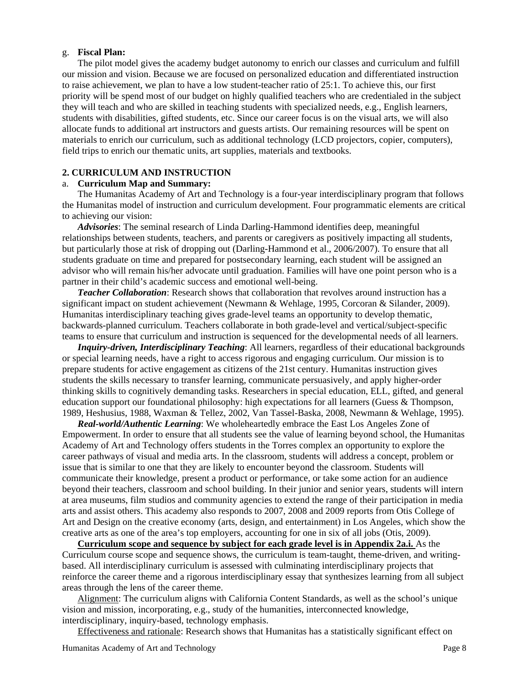## g. **Fiscal Plan:**

The pilot model gives the academy budget autonomy to enrich our classes and curriculum and fulfill our mission and vision. Because we are focused on personalized education and differentiated instruction to raise achievement, we plan to have a low student-teacher ratio of 25:1. To achieve this, our first priority will be spend most of our budget on highly qualified teachers who are credentialed in the subject they will teach and who are skilled in teaching students with specialized needs, e.g., English learners, students with disabilities, gifted students, etc. Since our career focus is on the visual arts, we will also allocate funds to additional art instructors and guests artists. Our remaining resources will be spent on materials to enrich our curriculum, such as additional technology (LCD projectors, copier, computers), field trips to enrich our thematic units, art supplies, materials and textbooks.

## **2. CURRICULUM AND INSTRUCTION**

#### a. **Curriculum Map and Summary:**

The Humanitas Academy of Art and Technology is a four-year interdisciplinary program that follows the Humanitas model of instruction and curriculum development. Four programmatic elements are critical to achieving our vision:

*Advisories*: The seminal research of Linda Darling-Hammond identifies deep, meaningful relationships between students, teachers, and parents or caregivers as positively impacting all students, but particularly those at risk of dropping out (Darling-Hammond et al., 2006/2007). To ensure that all students graduate on time and prepared for postsecondary learning, each student will be assigned an advisor who will remain his/her advocate until graduation. Families will have one point person who is a partner in their child's academic success and emotional well-being.

*Teacher Collaboration*: Research shows that collaboration that revolves around instruction has a significant impact on student achievement (Newmann & Wehlage, 1995, Corcoran & Silander, 2009). Humanitas interdisciplinary teaching gives grade-level teams an opportunity to develop thematic, backwards-planned curriculum. Teachers collaborate in both grade-level and vertical/subject-specific teams to ensure that curriculum and instruction is sequenced for the developmental needs of all learners.

*Inquiry-driven, Interdisciplinary Teaching*: All learners, regardless of their educational backgrounds or special learning needs, have a right to access rigorous and engaging curriculum. Our mission is to prepare students for active engagement as citizens of the 21st century. Humanitas instruction gives students the skills necessary to transfer learning, communicate persuasively, and apply higher-order thinking skills to cognitively demanding tasks. Researchers in special education, ELL, gifted, and general education support our foundational philosophy: high expectations for all learners (Guess & Thompson, 1989, Heshusius, 1988, Waxman & Tellez, 2002, Van Tassel-Baska, 2008, Newmann & Wehlage, 1995).

*Real-world/Authentic Learning*: We wholeheartedly embrace the East Los Angeles Zone of Empowerment. In order to ensure that all students see the value of learning beyond school, the Humanitas Academy of Art and Technology offers students in the Torres complex an opportunity to explore the career pathways of visual and media arts. In the classroom, students will address a concept, problem or issue that is similar to one that they are likely to encounter beyond the classroom. Students will communicate their knowledge, present a product or performance, or take some action for an audience beyond their teachers, classroom and school building. In their junior and senior years, students will intern at area museums, film studios and community agencies to extend the range of their participation in media arts and assist others. This academy also responds to 2007, 2008 and 2009 reports from Otis College of Art and Design on the creative economy (arts, design, and entertainment) in Los Angeles, which show the creative arts as one of the area's top employers, accounting for one in six of all jobs (Otis, 2009).

**Curriculum scope and sequence by subject for each grade level is in Appendix 2a.i.** As the Curriculum course scope and sequence shows, the curriculum is team-taught, theme-driven, and writingbased. All interdisciplinary curriculum is assessed with culminating interdisciplinary projects that reinforce the career theme and a rigorous interdisciplinary essay that synthesizes learning from all subject areas through the lens of the career theme.

Alignment: The curriculum aligns with California Content Standards, as well as the school's unique vision and mission, incorporating, e.g., study of the humanities, interconnected knowledge, interdisciplinary, inquiry-based, technology emphasis.

Effectiveness and rationale: Research shows that Humanitas has a statistically significant effect on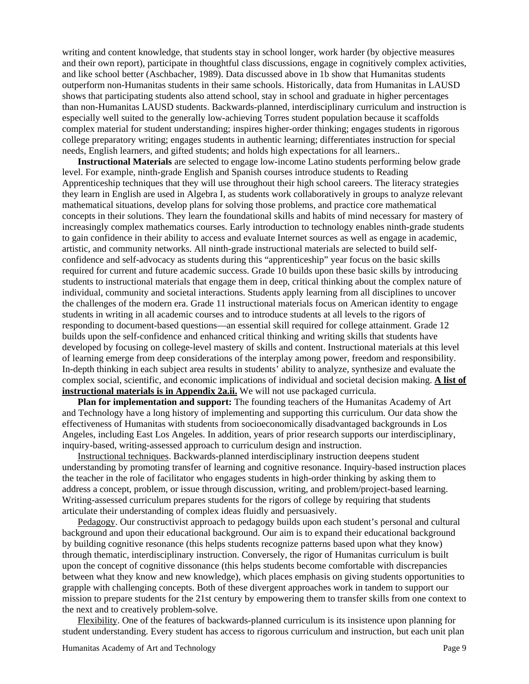writing and content knowledge, that students stay in school longer, work harder (by objective measures and their own report), participate in thoughtful class discussions, engage in cognitively complex activities, and like school better (Aschbacher, 1989). Data discussed above in 1b show that Humanitas students outperform non-Humanitas students in their same schools. Historically, data from Humanitas in LAUSD shows that participating students also attend school, stay in school and graduate in higher percentages than non-Humanitas LAUSD students. Backwards-planned, interdisciplinary curriculum and instruction is especially well suited to the generally low-achieving Torres student population because it scaffolds complex material for student understanding; inspires higher-order thinking; engages students in rigorous college preparatory writing; engages students in authentic learning; differentiates instruction for special needs, English learners, and gifted students; and holds high expectations for all learners..

**Instructional Materials** are selected to engage low-income Latino students performing below grade level. For example, ninth-grade English and Spanish courses introduce students to Reading Apprenticeship techniques that they will use throughout their high school careers. The literacy strategies they learn in English are used in Algebra I, as students work collaboratively in groups to analyze relevant mathematical situations, develop plans for solving those problems, and practice core mathematical concepts in their solutions. They learn the foundational skills and habits of mind necessary for mastery of increasingly complex mathematics courses. Early introduction to technology enables ninth-grade students to gain confidence in their ability to access and evaluate Internet sources as well as engage in academic, artistic, and community networks. All ninth-grade instructional materials are selected to build selfconfidence and self-advocacy as students during this "apprenticeship" year focus on the basic skills required for current and future academic success. Grade 10 builds upon these basic skills by introducing students to instructional materials that engage them in deep, critical thinking about the complex nature of individual, community and societal interactions. Students apply learning from all disciplines to uncover the challenges of the modern era. Grade 11 instructional materials focus on American identity to engage students in writing in all academic courses and to introduce students at all levels to the rigors of responding to document-based questions—an essential skill required for college attainment. Grade 12 builds upon the self-confidence and enhanced critical thinking and writing skills that students have developed by focusing on college-level mastery of skills and content. Instructional materials at this level of learning emerge from deep considerations of the interplay among power, freedom and responsibility. In-depth thinking in each subject area results in students' ability to analyze, synthesize and evaluate the complex social, scientific, and economic implications of individual and societal decision making. **A list of instructional materials is in Appendix 2a.ii.** We will not use packaged curricula.

**Plan for implementation and support:** The founding teachers of the Humanitas Academy of Art and Technology have a long history of implementing and supporting this curriculum. Our data show the effectiveness of Humanitas with students from socioeconomically disadvantaged backgrounds in Los Angeles, including East Los Angeles. In addition, years of prior research supports our interdisciplinary, inquiry-based, writing-assessed approach to curriculum design and instruction.

Instructional techniques. Backwards-planned interdisciplinary instruction deepens student understanding by promoting transfer of learning and cognitive resonance. Inquiry-based instruction places the teacher in the role of facilitator who engages students in high-order thinking by asking them to address a concept, problem, or issue through discussion, writing, and problem/project-based learning. Writing-assessed curriculum prepares students for the rigors of college by requiring that students articulate their understanding of complex ideas fluidly and persuasively.

Pedagogy. Our constructivist approach to pedagogy builds upon each student's personal and cultural background and upon their educational background. Our aim is to expand their educational background by building cognitive resonance (this helps students recognize patterns based upon what they know) through thematic, interdisciplinary instruction. Conversely, the rigor of Humanitas curriculum is built upon the concept of cognitive dissonance (this helps students become comfortable with discrepancies between what they know and new knowledge), which places emphasis on giving students opportunities to grapple with challenging concepts. Both of these divergent approaches work in tandem to support our mission to prepare students for the 21st century by empowering them to transfer skills from one context to the next and to creatively problem-solve.

Flexibility. One of the features of backwards-planned curriculum is its insistence upon planning for student understanding. Every student has access to rigorous curriculum and instruction, but each unit plan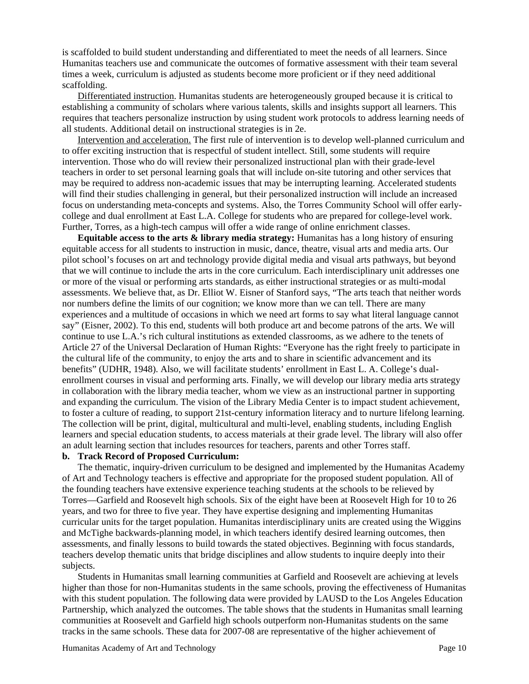is scaffolded to build student understanding and differentiated to meet the needs of all learners. Since Humanitas teachers use and communicate the outcomes of formative assessment with their team several times a week, curriculum is adjusted as students become more proficient or if they need additional scaffolding.

Differentiated instruction. Humanitas students are heterogeneously grouped because it is critical to establishing a community of scholars where various talents, skills and insights support all learners. This requires that teachers personalize instruction by using student work protocols to address learning needs of all students. Additional detail on instructional strategies is in 2e.

Intervention and acceleration. The first rule of intervention is to develop well-planned curriculum and to offer exciting instruction that is respectful of student intellect. Still, some students will require intervention. Those who do will review their personalized instructional plan with their grade-level teachers in order to set personal learning goals that will include on-site tutoring and other services that may be required to address non-academic issues that may be interrupting learning. Accelerated students will find their studies challenging in general, but their personalized instruction will include an increased focus on understanding meta-concepts and systems. Also, the Torres Community School will offer earlycollege and dual enrollment at East L.A. College for students who are prepared for college-level work. Further, Torres, as a high-tech campus will offer a wide range of online enrichment classes.

**Equitable access to the arts & library media strategy:** Humanitas has a long history of ensuring equitable access for all students to instruction in music, dance, theatre, visual arts and media arts. Our pilot school's focuses on art and technology provide digital media and visual arts pathways, but beyond that we will continue to include the arts in the core curriculum. Each interdisciplinary unit addresses one or more of the visual or performing arts standards, as either instructional strategies or as multi-modal assessments. We believe that, as Dr. Elliot W. Eisner of Stanford says, "The arts teach that neither words nor numbers define the limits of our cognition; we know more than we can tell. There are many experiences and a multitude of occasions in which we need art forms to say what literal language cannot say" (Eisner, 2002). To this end, students will both produce art and become patrons of the arts. We will continue to use L.A.'s rich cultural institutions as extended classrooms, as we adhere to the tenets of Article 27 of the Universal Declaration of Human Rights: "Everyone has the right freely to participate in the cultural life of the community, to enjoy the arts and to share in scientific advancement and its benefits" (UDHR, 1948). Also, we will facilitate students' enrollment in East L. A. College's dualenrollment courses in visual and performing arts. Finally, we will develop our library media arts strategy in collaboration with the library media teacher, whom we view as an instructional partner in supporting and expanding the curriculum. The vision of the Library Media Center is to impact student achievement, to foster a culture of reading, to support 21st-century information literacy and to nurture lifelong learning. The collection will be print, digital, multicultural and multi-level, enabling students, including English learners and special education students, to access materials at their grade level. The library will also offer an adult learning section that includes resources for teachers, parents and other Torres staff.

## **b. Track Record of Proposed Curriculum:**

The thematic, inquiry-driven curriculum to be designed and implemented by the Humanitas Academy of Art and Technology teachers is effective and appropriate for the proposed student population. All of the founding teachers have extensive experience teaching students at the schools to be relieved by Torres—Garfield and Roosevelt high schools. Six of the eight have been at Roosevelt High for 10 to 26 years, and two for three to five year. They have expertise designing and implementing Humanitas curricular units for the target population. Humanitas interdisciplinary units are created using the Wiggins and McTighe backwards-planning model, in which teachers identify desired learning outcomes, then assessments, and finally lessons to build towards the stated objectives. Beginning with focus standards, teachers develop thematic units that bridge disciplines and allow students to inquire deeply into their subjects.

Students in Humanitas small learning communities at Garfield and Roosevelt are achieving at levels higher than those for non-Humanitas students in the same schools, proving the effectiveness of Humanitas with this student population. The following data were provided by LAUSD to the Los Angeles Education Partnership, which analyzed the outcomes. The table shows that the students in Humanitas small learning communities at Roosevelt and Garfield high schools outperform non-Humanitas students on the same tracks in the same schools. These data for 2007-08 are representative of the higher achievement of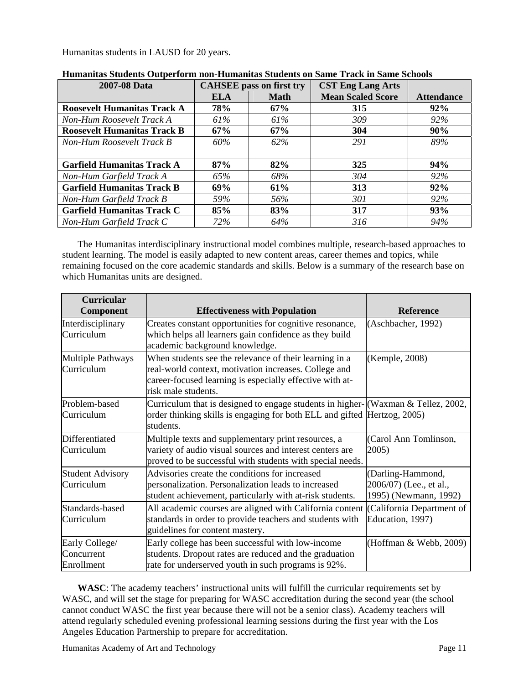Humanitas students in LAUSD for 20 years.

| 2007-08 Data                       |            | <b>CAHSEE</b> pass on first try | <b>CST Eng Lang Arts</b> |                   |
|------------------------------------|------------|---------------------------------|--------------------------|-------------------|
|                                    | <b>ELA</b> | <b>Math</b>                     | <b>Mean Scaled Score</b> | <b>Attendance</b> |
| <b>Roosevelt Humanitas Track A</b> | 78%        | 67%                             | 315                      | 92%               |
| Non-Hum Roosevelt Track A          | 61%        | 61%                             | 309                      | 92%               |
| <b>Roosevelt Humanitas Track B</b> | 67%        | 67%                             | 304                      | 90%               |
| Non-Hum Roosevelt Track B          | 60%        | 62%                             | 291                      | 89%               |
|                                    |            |                                 |                          |                   |
| <b>Garfield Humanitas Track A</b>  | 87%        | 82%                             | 325                      | 94%               |
| Non-Hum Garfield Track A           | 65%        | 68%                             | 304                      | 92%               |
| <b>Garfield Humanitas Track B</b>  | 69%        | 61%                             | 313                      | 92%               |
| Non-Hum Garfield Track B           | 59%        | 56%                             | 301                      | 92%               |
| <b>Garfield Humanitas Track C</b>  | 85%        | 83%                             | 317                      | 93%               |
| Non-Hum Garfield Track C           | 72%        | 64%                             | 316                      | 94%               |

| Humanitas Students Outperform non-Humanitas Students on Same Track in Same Schools |  |
|------------------------------------------------------------------------------------|--|
|------------------------------------------------------------------------------------|--|

The Humanitas interdisciplinary instructional model combines multiple, research-based approaches to student learning. The model is easily adapted to new content areas, career themes and topics, while remaining focused on the core academic standards and skills. Below is a summary of the research base on which Humanitas units are designed.

| <b>Curricular</b><br>Component             | <b>Effectiveness with Population</b>                                                                                                                                                               | <b>Reference</b>                                                      |
|--------------------------------------------|----------------------------------------------------------------------------------------------------------------------------------------------------------------------------------------------------|-----------------------------------------------------------------------|
| Interdisciplinary<br>Curriculum            | Creates constant opportunities for cognitive resonance,<br>which helps all learners gain confidence as they build<br>academic background knowledge.                                                | (Aschbacher, 1992)                                                    |
| <b>Multiple Pathways</b><br>Curriculum     | When students see the relevance of their learning in a<br>real-world context, motivation increases. College and<br>career-focused learning is especially effective with at-<br>risk male students. | (Kemple, 2008)                                                        |
| Problem-based<br>Curriculum                | Curriculum that is designed to engage students in higher- $\vert$ (Waxman & Tellez, 2002,<br>order thinking skills is engaging for both ELL and gifted Hertzog, 2005)<br>students.                 |                                                                       |
| Differentiated<br>Curriculum               | Multiple texts and supplementary print resources, a<br>variety of audio visual sources and interest centers are<br>proved to be successful with students with special needs.                       | (Carol Ann Tomlinson,<br>2005)                                        |
| <b>Student Advisory</b><br>Curriculum      | Advisories create the conditions for increased<br>personalization. Personalization leads to increased<br>student achievement, particularly with at-risk students.                                  | (Darling-Hammond,<br>2006/07) (Lee., et al.,<br>1995) (Newmann, 1992) |
| Standards-based<br>Curriculum              | All academic courses are aligned with California content<br>standards in order to provide teachers and students with<br>guidelines for content mastery.                                            | (California Department of<br>Education, 1997)                         |
| Early College/<br>Concurrent<br>Enrollment | Early college has been successful with low-income<br>students. Dropout rates are reduced and the graduation<br>rate for underserved youth in such programs is 92%.                                 | (Hoffman & Webb, 2009)                                                |

**WASC**: The academy teachers' instructional units will fulfill the curricular requirements set by WASC, and will set the stage for preparing for WASC accreditation during the second year (the school cannot conduct WASC the first year because there will not be a senior class). Academy teachers will attend regularly scheduled evening professional learning sessions during the first year with the Los Angeles Education Partnership to prepare for accreditation.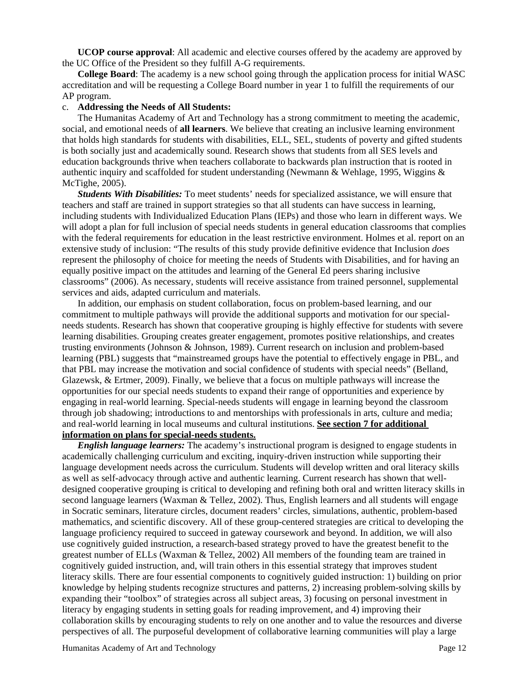**UCOP course approval**: All academic and elective courses offered by the academy are approved by the UC Office of the President so they fulfill A-G requirements.

**College Board**: The academy is a new school going through the application process for initial WASC accreditation and will be requesting a College Board number in year 1 to fulfill the requirements of our AP program.

#### c. **Addressing the Needs of All Students:**

The Humanitas Academy of Art and Technology has a strong commitment to meeting the academic, social, and emotional needs of **all learners**. We believe that creating an inclusive learning environment that holds high standards for students with disabilities, ELL, SEL, students of poverty and gifted students is both socially just and academically sound. Research shows that students from all SES levels and education backgrounds thrive when teachers collaborate to backwards plan instruction that is rooted in authentic inquiry and scaffolded for student understanding (Newmann & Wehlage, 1995, Wiggins & McTighe, 2005).

*Students With Disabilities:* To meet students' needs for specialized assistance, we will ensure that teachers and staff are trained in support strategies so that all students can have success in learning, including students with Individualized Education Plans (IEPs) and those who learn in different ways. We will adopt a plan for full inclusion of special needs students in general education classrooms that complies with the federal requirements for education in the least restrictive environment. Holmes et al. report on an extensive study of inclusion: "The results of this study provide definitive evidence that Inclusion *does*  represent the philosophy of choice for meeting the needs of Students with Disabilities, and for having an equally positive impact on the attitudes and learning of the General Ed peers sharing inclusive classrooms" (2006). As necessary, students will receive assistance from trained personnel, supplemental services and aids, adapted curriculum and materials.

In addition, our emphasis on student collaboration, focus on problem-based learning, and our commitment to multiple pathways will provide the additional supports and motivation for our specialneeds students. Research has shown that cooperative grouping is highly effective for students with severe learning disabilities. Grouping creates greater engagement, promotes positive relationships, and creates trusting environments (Johnson & Johnson, 1989). Current research on inclusion and problem-based learning (PBL) suggests that "mainstreamed groups have the potential to effectively engage in PBL, and that PBL may increase the motivation and social confidence of students with special needs" (Belland, Glazewsk, & Ertmer, 2009). Finally, we believe that a focus on multiple pathways will increase the opportunities for our special needs students to expand their range of opportunities and experience by engaging in real-world learning. Special-needs students will engage in learning beyond the classroom through job shadowing; introductions to and mentorships with professionals in arts, culture and media; and real-world learning in local museums and cultural institutions. **See section 7 for additional** 

## **information on plans for special-needs students.**

*English language learners:* The academy's instructional program is designed to engage students in academically challenging curriculum and exciting, inquiry-driven instruction while supporting their language development needs across the curriculum. Students will develop written and oral literacy skills as well as self-advocacy through active and authentic learning. Current research has shown that welldesigned cooperative grouping is critical to developing and refining both oral and written literacy skills in second language learners (Waxman & Tellez, 2002). Thus, English learners and all students will engage in Socratic seminars, literature circles, document readers' circles, simulations, authentic, problem-based mathematics, and scientific discovery. All of these group-centered strategies are critical to developing the language proficiency required to succeed in gateway coursework and beyond. In addition, we will also use cognitively guided instruction, a research-based strategy proved to have the greatest benefit to the greatest number of ELLs (Waxman & Tellez, 2002) All members of the founding team are trained in cognitively guided instruction, and, will train others in this essential strategy that improves student literacy skills. There are four essential components to cognitively guided instruction: 1) building on prior knowledge by helping students recognize structures and patterns, 2) increasing problem-solving skills by expanding their "toolbox" of strategies across all subject areas, 3) focusing on personal investment in literacy by engaging students in setting goals for reading improvement, and 4) improving their collaboration skills by encouraging students to rely on one another and to value the resources and diverse perspectives of all. The purposeful development of collaborative learning communities will play a large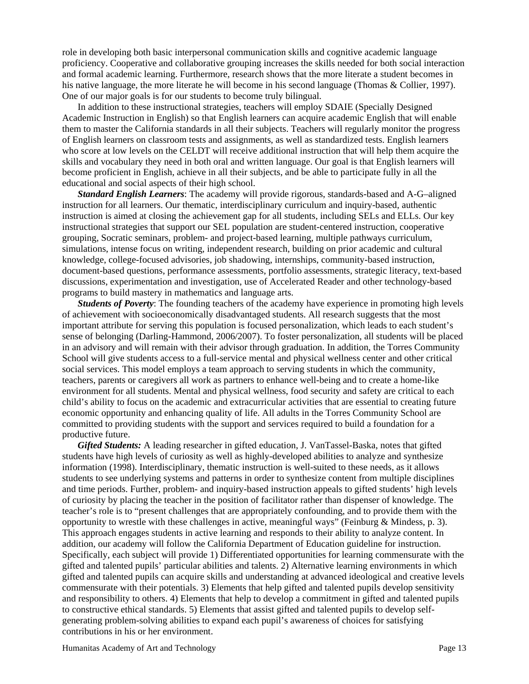role in developing both basic interpersonal communication skills and cognitive academic language proficiency. Cooperative and collaborative grouping increases the skills needed for both social interaction and formal academic learning. Furthermore, research shows that the more literate a student becomes in his native language, the more literate he will become in his second language (Thomas & Collier, 1997). One of our major goals is for our students to become truly bilingual.

In addition to these instructional strategies, teachers will employ SDAIE (Specially Designed Academic Instruction in English) so that English learners can acquire academic English that will enable them to master the California standards in all their subjects. Teachers will regularly monitor the progress of English learners on classroom tests and assignments, as well as standardized tests. English learners who score at low levels on the CELDT will receive additional instruction that will help them acquire the skills and vocabulary they need in both oral and written language. Our goal is that English learners will become proficient in English, achieve in all their subjects, and be able to participate fully in all the educational and social aspects of their high school.

*Standard English Learners*: The academy will provide rigorous, standards-based and A-G–aligned instruction for all learners. Our thematic, interdisciplinary curriculum and inquiry-based, authentic instruction is aimed at closing the achievement gap for all students, including SELs and ELLs. Our key instructional strategies that support our SEL population are student-centered instruction, cooperative grouping, Socratic seminars, problem- and project-based learning, multiple pathways curriculum, simulations, intense focus on writing, independent research, building on prior academic and cultural knowledge, college-focused advisories, job shadowing, internships, community-based instruction, document-based questions, performance assessments, portfolio assessments, strategic literacy, text-based discussions, experimentation and investigation, use of Accelerated Reader and other technology-based programs to build mastery in mathematics and language arts.

*Students of Poverty*: The founding teachers of the academy have experience in promoting high levels of achievement with socioeconomically disadvantaged students. All research suggests that the most important attribute for serving this population is focused personalization, which leads to each student's sense of belonging (Darling-Hammond, 2006/2007). To foster personalization, all students will be placed in an advisory and will remain with their advisor through graduation. In addition, the Torres Community School will give students access to a full-service mental and physical wellness center and other critical social services. This model employs a team approach to serving students in which the community, teachers, parents or caregivers all work as partners to enhance well-being and to create a home-like environment for all students. Mental and physical wellness, food security and safety are critical to each child's ability to focus on the academic and extracurricular activities that are essential to creating future economic opportunity and enhancing quality of life. All adults in the Torres Community School are committed to providing students with the support and services required to build a foundation for a productive future.

*Gifted Students:* A leading researcher in gifted education, J. VanTassel-Baska, notes that gifted students have high levels of curiosity as well as highly-developed abilities to analyze and synthesize information (1998). Interdisciplinary, thematic instruction is well-suited to these needs, as it allows students to see underlying systems and patterns in order to synthesize content from multiple disciplines and time periods. Further, problem- and inquiry-based instruction appeals to gifted students' high levels of curiosity by placing the teacher in the position of facilitator rather than dispenser of knowledge. The teacher's role is to "present challenges that are appropriately confounding, and to provide them with the opportunity to wrestle with these challenges in active, meaningful ways" (Feinburg & Mindess, p. 3). This approach engages students in active learning and responds to their ability to analyze content. In addition, our academy will follow the California Department of Education guideline for instruction. Specifically, each subject will provide 1) Differentiated opportunities for learning commensurate with the gifted and talented pupils' particular abilities and talents. 2) Alternative learning environments in which gifted and talented pupils can acquire skills and understanding at advanced ideological and creative levels commensurate with their potentials. 3) Elements that help gifted and talented pupils develop sensitivity and responsibility to others. 4) Elements that help to develop a commitment in gifted and talented pupils to constructive ethical standards. 5) Elements that assist gifted and talented pupils to develop selfgenerating problem-solving abilities to expand each pupil's awareness of choices for satisfying contributions in his or her environment.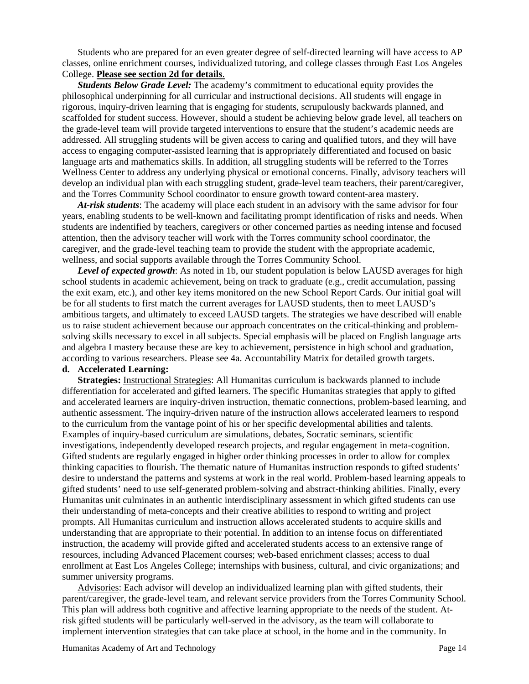Students who are prepared for an even greater degree of self-directed learning will have access to AP classes, online enrichment courses, individualized tutoring, and college classes through East Los Angeles College. **Please see section 2d for details**.

*Students Below Grade Level:* The academy's commitment to educational equity provides the philosophical underpinning for all curricular and instructional decisions. All students will engage in rigorous, inquiry-driven learning that is engaging for students, scrupulously backwards planned, and scaffolded for student success. However, should a student be achieving below grade level, all teachers on the grade-level team will provide targeted interventions to ensure that the student's academic needs are addressed. All struggling students will be given access to caring and qualified tutors, and they will have access to engaging computer-assisted learning that is appropriately differentiated and focused on basic language arts and mathematics skills. In addition, all struggling students will be referred to the Torres Wellness Center to address any underlying physical or emotional concerns. Finally, advisory teachers will develop an individual plan with each struggling student, grade-level team teachers, their parent/caregiver, and the Torres Community School coordinator to ensure growth toward content-area mastery.

*At-risk students*: The academy will place each student in an advisory with the same advisor for four years, enabling students to be well-known and facilitating prompt identification of risks and needs. When students are indentified by teachers, caregivers or other concerned parties as needing intense and focused attention, then the advisory teacher will work with the Torres community school coordinator, the caregiver, and the grade-level teaching team to provide the student with the appropriate academic, wellness, and social supports available through the Torres Community School.

*Level of expected growth*: As noted in 1b, our student population is below LAUSD averages for high school students in academic achievement, being on track to graduate (e.g., credit accumulation, passing the exit exam, etc.), and other key items monitored on the new School Report Cards. Our initial goal will be for all students to first match the current averages for LAUSD students, then to meet LAUSD's ambitious targets, and ultimately to exceed LAUSD targets. The strategies we have described will enable us to raise student achievement because our approach concentrates on the critical-thinking and problemsolving skills necessary to excel in all subjects. Special emphasis will be placed on English language arts and algebra I mastery because these are key to achievement, persistence in high school and graduation, according to various researchers. Please see 4a. Accountability Matrix for detailed growth targets.

# **d. Accelerated Learning:**

**Strategies:** Instructional Strategies: All Humanitas curriculum is backwards planned to include differentiation for accelerated and gifted learners. The specific Humanitas strategies that apply to gifted and accelerated learners are inquiry-driven instruction, thematic connections, problem-based learning, and authentic assessment. The inquiry-driven nature of the instruction allows accelerated learners to respond to the curriculum from the vantage point of his or her specific developmental abilities and talents. Examples of inquiry-based curriculum are simulations, debates, Socratic seminars, scientific investigations, independently developed research projects, and regular engagement in meta-cognition. Gifted students are regularly engaged in higher order thinking processes in order to allow for complex thinking capacities to flourish. The thematic nature of Humanitas instruction responds to gifted students' desire to understand the patterns and systems at work in the real world. Problem-based learning appeals to gifted students' need to use self-generated problem-solving and abstract-thinking abilities. Finally, every Humanitas unit culminates in an authentic interdisciplinary assessment in which gifted students can use their understanding of meta-concepts and their creative abilities to respond to writing and project prompts. All Humanitas curriculum and instruction allows accelerated students to acquire skills and understanding that are appropriate to their potential. In addition to an intense focus on differentiated instruction, the academy will provide gifted and accelerated students access to an extensive range of resources, including Advanced Placement courses; web-based enrichment classes; access to dual enrollment at East Los Angeles College; internships with business, cultural, and civic organizations; and summer university programs.

Advisories: Each advisor will develop an individualized learning plan with gifted students, their parent/caregiver, the grade-level team, and relevant service providers from the Torres Community School. This plan will address both cognitive and affective learning appropriate to the needs of the student. Atrisk gifted students will be particularly well-served in the advisory, as the team will collaborate to implement intervention strategies that can take place at school, in the home and in the community. In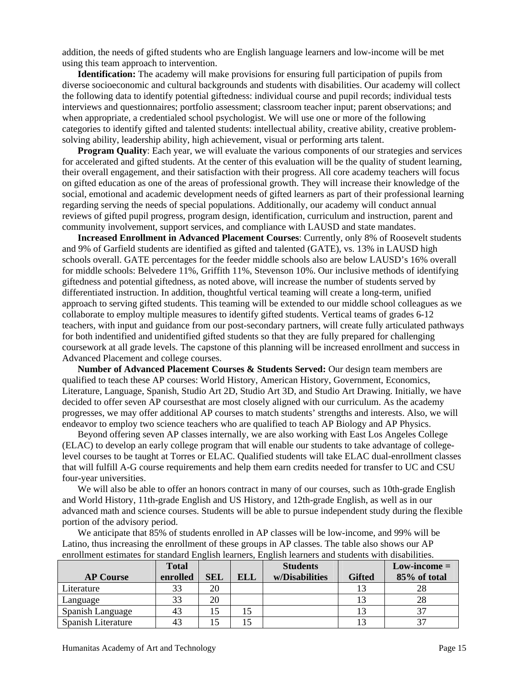addition, the needs of gifted students who are English language learners and low-income will be met using this team approach to intervention.

**Identification:** The academy will make provisions for ensuring full participation of pupils from diverse socioeconomic and cultural backgrounds and students with disabilities. Our academy will collect the following data to identify potential giftedness: individual course and pupil records; individual tests interviews and questionnaires; portfolio assessment; classroom teacher input; parent observations; and when appropriate, a credentialed school psychologist. We will use one or more of the following categories to identify gifted and talented students: intellectual ability, creative ability, creative problemsolving ability, leadership ability, high achievement, visual or performing arts talent.

**Program Quality**: Each year, we will evaluate the various components of our strategies and services for accelerated and gifted students. At the center of this evaluation will be the quality of student learning, their overall engagement, and their satisfaction with their progress. All core academy teachers will focus on gifted education as one of the areas of professional growth. They will increase their knowledge of the social, emotional and academic development needs of gifted learners as part of their professional learning regarding serving the needs of special populations. Additionally, our academy will conduct annual reviews of gifted pupil progress, program design, identification, curriculum and instruction, parent and community involvement, support services, and compliance with LAUSD and state mandates.

**Increased Enrollment in Advanced Placement Courses**: Currently, only 8% of Roosevelt students and 9% of Garfield students are identified as gifted and talented (GATE), vs. 13% in LAUSD high schools overall. GATE percentages for the feeder middle schools also are below LAUSD's 16% overall for middle schools: Belvedere 11%, Griffith 11%, Stevenson 10%. Our inclusive methods of identifying giftedness and potential giftedness, as noted above, will increase the number of students served by differentiated instruction. In addition, thoughtful vertical teaming will create a long-term, unified approach to serving gifted students. This teaming will be extended to our middle school colleagues as we collaborate to employ multiple measures to identify gifted students. Vertical teams of grades 6-12 teachers, with input and guidance from our post-secondary partners, will create fully articulated pathways for both indentified and unidentified gifted students so that they are fully prepared for challenging coursework at all grade levels. The capstone of this planning will be increased enrollment and success in Advanced Placement and college courses.

**Number of Advanced Placement Courses & Students Served:** Our design team members are qualified to teach these AP courses: World History, American History, Government, Economics, Literature, Language, Spanish, Studio Art 2D, Studio Art 3D, and Studio Art Drawing. Initially, we have decided to offer seven AP coursesthat are most closely aligned with our curriculum. As the academy progresses, we may offer additional AP courses to match students' strengths and interests. Also, we will endeavor to employ two science teachers who are qualified to teach AP Biology and AP Physics.

Beyond offering seven AP classes internally, we are also working with East Los Angeles College (ELAC) to develop an early college program that will enable our students to take advantage of collegelevel courses to be taught at Torres or ELAC. Qualified students will take ELAC dual-enrollment classes that will fulfill A-G course requirements and help them earn credits needed for transfer to UC and CSU four-year universities.

We will also be able to offer an honors contract in many of our courses, such as 10th-grade English and World History, 11th-grade English and US History, and 12th-grade English, as well as in our advanced math and science courses. Students will be able to pursue independent study during the flexible portion of the advisory period.

We anticipate that 85% of students enrolled in AP classes will be low-income, and 99% will be Latino, thus increasing the enrollment of these groups in AP classes. The table also shows our AP enrollment estimates for standard English learners, English learners and students with disabilities.

|                    | <b>Total</b> |            |            | <b>Students</b> |               | $Low\text{-}income =$ |
|--------------------|--------------|------------|------------|-----------------|---------------|-----------------------|
| <b>AP Course</b>   | enrolled     | <b>SEL</b> | <b>ELL</b> | w/Disabilities  | <b>Gifted</b> | 85% of total          |
| Literature         | 33           | 20         |            |                 |               | 28                    |
| Language           | 33           | 20         |            |                 |               | 28                    |
| Spanish Language   | 43           |            |            |                 |               | 37                    |
| Spanish Literature | 43           |            |            |                 |               | 37                    |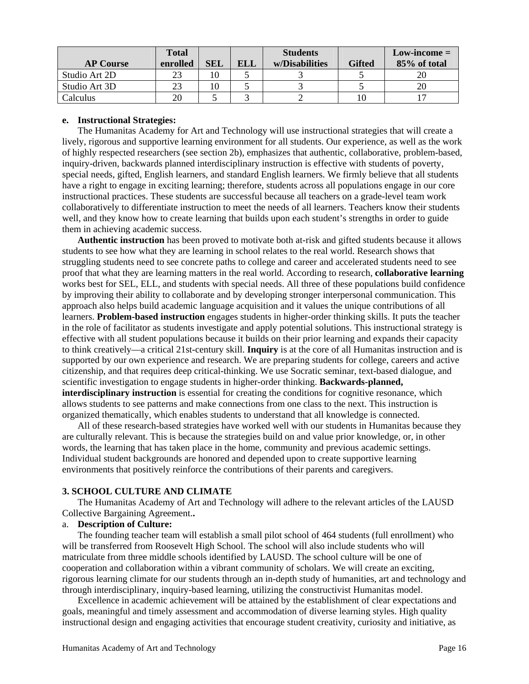|                  | Total    |            |     | <b>Students</b> |               | $Low\text{-}income =$ |
|------------------|----------|------------|-----|-----------------|---------------|-----------------------|
| <b>AP Course</b> | enrolled | <b>SEL</b> | ELL | w/Disabilities  | <b>Gifted</b> | 85% of total          |
| Studio Art 2D    | 23       |            |     |                 |               |                       |
| Studio Art 3D    | 23       |            |     |                 |               | 20                    |
| Calculus         | 20       |            |     |                 |               |                       |

#### **e. Instructional Strategies:**

The Humanitas Academy for Art and Technology will use instructional strategies that will create a lively, rigorous and supportive learning environment for all students. Our experience, as well as the work of highly respected researchers (see section 2b), emphasizes that authentic, collaborative, problem-based, inquiry-driven, backwards planned interdisciplinary instruction is effective with students of poverty, special needs, gifted, English learners, and standard English learners. We firmly believe that all students have a right to engage in exciting learning; therefore, students across all populations engage in our core instructional practices. These students are successful because all teachers on a grade-level team work collaboratively to differentiate instruction to meet the needs of all learners. Teachers know their students well, and they know how to create learning that builds upon each student's strengths in order to guide them in achieving academic success.

**Authentic instruction** has been proved to motivate both at-risk and gifted students because it allows students to see how what they are learning in school relates to the real world. Research shows that struggling students need to see concrete paths to college and career and accelerated students need to see proof that what they are learning matters in the real world. According to research, **collaborative learning** works best for SEL, ELL, and students with special needs. All three of these populations build confidence by improving their ability to collaborate and by developing stronger interpersonal communication. This approach also helps build academic language acquisition and it values the unique contributions of all learners. **Problem-based instruction** engages students in higher-order thinking skills. It puts the teacher in the role of facilitator as students investigate and apply potential solutions. This instructional strategy is effective with all student populations because it builds on their prior learning and expands their capacity to think creatively—a critical 21st-century skill. **Inquiry** is at the core of all Humanitas instruction and is supported by our own experience and research. We are preparing students for college, careers and active citizenship, and that requires deep critical-thinking. We use Socratic seminar, text-based dialogue, and scientific investigation to engage students in higher-order thinking. **Backwards-planned, interdisciplinary instruction** is essential for creating the conditions for cognitive resonance, which allows students to see patterns and make connections from one class to the next. This instruction is organized thematically, which enables students to understand that all knowledge is connected.

All of these research-based strategies have worked well with our students in Humanitas because they are culturally relevant. This is because the strategies build on and value prior knowledge, or, in other words, the learning that has taken place in the home, community and previous academic settings. Individual student backgrounds are honored and depended upon to create supportive learning environments that positively reinforce the contributions of their parents and caregivers.

## **3. SCHOOL CULTURE AND CLIMATE**

The Humanitas Academy of Art and Technology will adhere to the relevant articles of the LAUSD Collective Bargaining Agreement.**.** 

# a. **Description of Culture:**

The founding teacher team will establish a small pilot school of 464 students (full enrollment) who will be transferred from Roosevelt High School. The school will also include students who will matriculate from three middle schools identified by LAUSD. The school culture will be one of cooperation and collaboration within a vibrant community of scholars. We will create an exciting, rigorous learning climate for our students through an in-depth study of humanities, art and technology and through interdisciplinary, inquiry-based learning, utilizing the constructivist Humanitas model.

Excellence in academic achievement will be attained by the establishment of clear expectations and goals, meaningful and timely assessment and accommodation of diverse learning styles. High quality instructional design and engaging activities that encourage student creativity, curiosity and initiative, as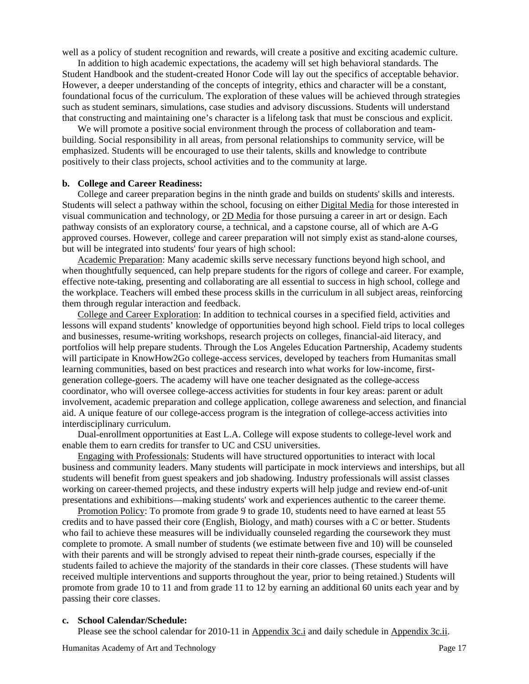well as a policy of student recognition and rewards, will create a positive and exciting academic culture.

In addition to high academic expectations, the academy will set high behavioral standards. The Student Handbook and the student-created Honor Code will lay out the specifics of acceptable behavior. However, a deeper understanding of the concepts of integrity, ethics and character will be a constant, foundational focus of the curriculum. The exploration of these values will be achieved through strategies such as student seminars, simulations, case studies and advisory discussions. Students will understand that constructing and maintaining one's character is a lifelong task that must be conscious and explicit.

We will promote a positive social environment through the process of collaboration and teambuilding. Social responsibility in all areas, from personal relationships to community service, will be emphasized. Students will be encouraged to use their talents, skills and knowledge to contribute positively to their class projects, school activities and to the community at large.

#### **b. College and Career Readiness:**

College and career preparation begins in the ninth grade and builds on students' skills and interests. Students will select a pathway within the school, focusing on either Digital Media for those interested in visual communication and technology, or 2D Media for those pursuing a career in art or design. Each pathway consists of an exploratory course, a technical, and a capstone course, all of which are A-G approved courses. However, college and career preparation will not simply exist as stand-alone courses, but will be integrated into students' four years of high school:

Academic Preparation: Many academic skills serve necessary functions beyond high school, and when thoughtfully sequenced, can help prepare students for the rigors of college and career. For example, effective note-taking, presenting and collaborating are all essential to success in high school, college and the workplace. Teachers will embed these process skills in the curriculum in all subject areas, reinforcing them through regular interaction and feedback.

College and Career Exploration: In addition to technical courses in a specified field, activities and lessons will expand students' knowledge of opportunities beyond high school. Field trips to local colleges and businesses, resume-writing workshops, research projects on colleges, financial-aid literacy, and portfolios will help prepare students. Through the Los Angeles Education Partnership, Academy students will participate in KnowHow2Go college-access services, developed by teachers from Humanitas small learning communities, based on best practices and research into what works for low-income, firstgeneration college-goers. The academy will have one teacher designated as the college-access coordinator, who will oversee college-access activities for students in four key areas: parent or adult involvement, academic preparation and college application, college awareness and selection, and financial aid. A unique feature of our college-access program is the integration of college-access activities into interdisciplinary curriculum.

Dual-enrollment opportunities at East L.A. College will expose students to college-level work and enable them to earn credits for transfer to UC and CSU universities.

Engaging with Professionals: Students will have structured opportunities to interact with local business and community leaders. Many students will participate in mock interviews and interships, but all students will benefit from guest speakers and job shadowing. Industry professionals will assist classes working on career-themed projects, and these industry experts will help judge and review end-of-unit presentations and exhibitions—making students' work and experiences authentic to the career theme.

Promotion Policy: To promote from grade 9 to grade 10, students need to have earned at least 55 credits and to have passed their core (English, Biology, and math) courses with a C or better. Students who fail to achieve these measures will be individually counseled regarding the coursework they must complete to promote. A small number of students (we estimate between five and 10) will be counseled with their parents and will be strongly advised to repeat their ninth-grade courses, especially if the students failed to achieve the majority of the standards in their core classes. (These students will have received multiple interventions and supports throughout the year, prior to being retained.) Students will promote from grade 10 to 11 and from grade 11 to 12 by earning an additional 60 units each year and by passing their core classes.

#### **c. School Calendar/Schedule:**

Please see the school calendar for 2010-11 in Appendix 3c.i and daily schedule in Appendix 3c.ii.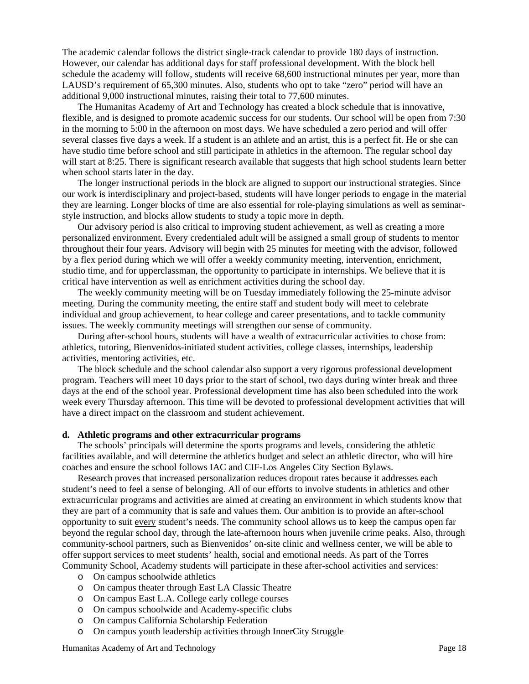The academic calendar follows the district single-track calendar to provide 180 days of instruction. However, our calendar has additional days for staff professional development. With the block bell schedule the academy will follow, students will receive 68,600 instructional minutes per year, more than LAUSD's requirement of 65,300 minutes. Also, students who opt to take "zero" period will have an additional 9,000 instructional minutes, raising their total to 77,600 minutes.

The Humanitas Academy of Art and Technology has created a block schedule that is innovative, flexible, and is designed to promote academic success for our students. Our school will be open from 7:30 in the morning to 5:00 in the afternoon on most days. We have scheduled a zero period and will offer several classes five days a week. If a student is an athlete and an artist, this is a perfect fit. He or she can have studio time before school and still participate in athletics in the afternoon. The regular school day will start at 8:25. There is significant research available that suggests that high school students learn better when school starts later in the day.

The longer instructional periods in the block are aligned to support our instructional strategies. Since our work is interdisciplinary and project-based, students will have longer periods to engage in the material they are learning. Longer blocks of time are also essential for role-playing simulations as well as seminarstyle instruction, and blocks allow students to study a topic more in depth.

Our advisory period is also critical to improving student achievement, as well as creating a more personalized environment. Every credentialed adult will be assigned a small group of students to mentor throughout their four years. Advisory will begin with 25 minutes for meeting with the advisor, followed by a flex period during which we will offer a weekly community meeting, intervention, enrichment, studio time, and for upperclassman, the opportunity to participate in internships. We believe that it is critical have intervention as well as enrichment activities during the school day.

The weekly community meeting will be on Tuesday immediately following the 25-minute advisor meeting. During the community meeting, the entire staff and student body will meet to celebrate individual and group achievement, to hear college and career presentations, and to tackle community issues. The weekly community meetings will strengthen our sense of community.

During after-school hours, students will have a wealth of extracurricular activities to chose from: athletics, tutoring, Bienvenidos-initiated student activities, college classes, internships, leadership activities, mentoring activities, etc.

The block schedule and the school calendar also support a very rigorous professional development program. Teachers will meet 10 days prior to the start of school, two days during winter break and three days at the end of the school year. Professional development time has also been scheduled into the work week every Thursday afternoon. This time will be devoted to professional development activities that will have a direct impact on the classroom and student achievement.

## **d. Athletic programs and other extracurricular programs**

The schools' principals will determine the sports programs and levels, considering the athletic facilities available, and will determine the athletics budget and select an athletic director, who will hire coaches and ensure the school follows IAC and CIF-Los Angeles City Section Bylaws.

Research proves that increased personalization reduces dropout rates because it addresses each student's need to feel a sense of belonging. All of our efforts to involve students in athletics and other extracurricular programs and activities are aimed at creating an environment in which students know that they are part of a community that is safe and values them. Our ambition is to provide an after-school opportunity to suit every student's needs. The community school allows us to keep the campus open far beyond the regular school day, through the late-afternoon hours when juvenile crime peaks. Also, through community-school partners, such as Bienvenidos' on-site clinic and wellness center, we will be able to offer support services to meet students' health, social and emotional needs. As part of the Torres Community School, Academy students will participate in these after-school activities and services:

- o On campus schoolwide athletics
- o On campus theater through East LA Classic Theatre
- o On campus East L.A. College early college courses
- o On campus schoolwide and Academy-specific clubs
- o On campus California Scholarship Federation
- o On campus youth leadership activities through InnerCity Struggle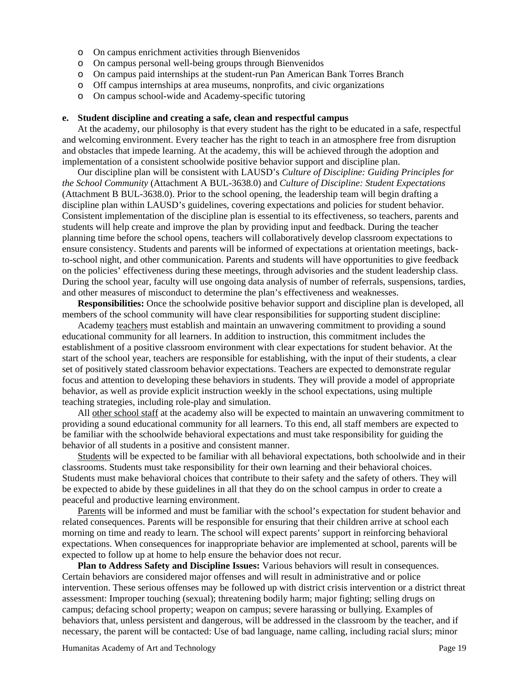- o On campus enrichment activities through Bienvenidos
- o On campus personal well-being groups through Bienvenidos
- o On campus paid internships at the student-run Pan American Bank Torres Branch
- o Off campus internships at area museums, nonprofits, and civic organizations
- o On campus school-wide and Academy-specific tutoring

#### **e. Student discipline and creating a safe, clean and respectful campus**

At the academy, our philosophy is that every student has the right to be educated in a safe, respectful and welcoming environment. Every teacher has the right to teach in an atmosphere free from disruption and obstacles that impede learning. At the academy, this will be achieved through the adoption and implementation of a consistent schoolwide positive behavior support and discipline plan.

Our discipline plan will be consistent with LAUSD's *Culture of Discipline: Guiding Principles for the School Community* (Attachment A BUL-3638.0) and *Culture of Discipline: Student Expectations* (Attachment B BUL-3638.0). Prior to the school opening, the leadership team will begin drafting a discipline plan within LAUSD's guidelines, covering expectations and policies for student behavior. Consistent implementation of the discipline plan is essential to its effectiveness, so teachers, parents and students will help create and improve the plan by providing input and feedback. During the teacher planning time before the school opens, teachers will collaboratively develop classroom expectations to ensure consistency. Students and parents will be informed of expectations at orientation meetings, backto-school night, and other communication. Parents and students will have opportunities to give feedback on the policies' effectiveness during these meetings, through advisories and the student leadership class. During the school year, faculty will use ongoing data analysis of number of referrals, suspensions, tardies, and other measures of misconduct to determine the plan's effectiveness and weaknesses.

**Responsibilities:** Once the schoolwide positive behavior support and discipline plan is developed, all members of the school community will have clear responsibilities for supporting student discipline:

Academy teachers must establish and maintain an unwavering commitment to providing a sound educational community for all learners. In addition to instruction, this commitment includes the establishment of a positive classroom environment with clear expectations for student behavior. At the start of the school year, teachers are responsible for establishing, with the input of their students, a clear set of positively stated classroom behavior expectations. Teachers are expected to demonstrate regular focus and attention to developing these behaviors in students. They will provide a model of appropriate behavior, as well as provide explicit instruction weekly in the school expectations, using multiple teaching strategies, including role-play and simulation.

All other school staff at the academy also will be expected to maintain an unwavering commitment to providing a sound educational community for all learners. To this end, all staff members are expected to be familiar with the schoolwide behavioral expectations and must take responsibility for guiding the behavior of all students in a positive and consistent manner.

Students will be expected to be familiar with all behavioral expectations, both schoolwide and in their classrooms. Students must take responsibility for their own learning and their behavioral choices. Students must make behavioral choices that contribute to their safety and the safety of others. They will be expected to abide by these guidelines in all that they do on the school campus in order to create a peaceful and productive learning environment.

Parents will be informed and must be familiar with the school's expectation for student behavior and related consequences. Parents will be responsible for ensuring that their children arrive at school each morning on time and ready to learn. The school will expect parents' support in reinforcing behavioral expectations. When consequences for inappropriate behavior are implemented at school, parents will be expected to follow up at home to help ensure the behavior does not recur.

**Plan to Address Safety and Discipline Issues:** Various behaviors will result in consequences. Certain behaviors are considered major offenses and will result in administrative and or police intervention. These serious offenses may be followed up with district crisis intervention or a district threat assessment: Improper touching (sexual); threatening bodily harm; major fighting; selling drugs on campus; defacing school property; weapon on campus; severe harassing or bullying. Examples of behaviors that, unless persistent and dangerous, will be addressed in the classroom by the teacher, and if necessary, the parent will be contacted: Use of bad language, name calling, including racial slurs; minor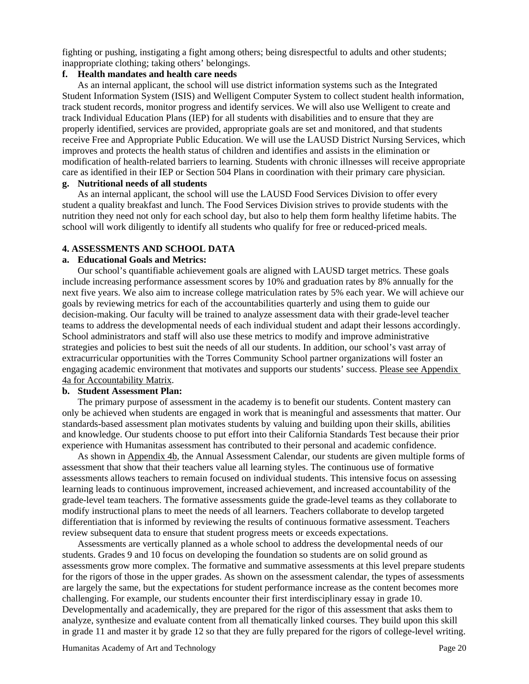fighting or pushing, instigating a fight among others; being disrespectful to adults and other students; inappropriate clothing; taking others' belongings.

#### **f. Health mandates and health care needs**

As an internal applicant, the school will use district information systems such as the Integrated Student Information System (ISIS) and Welligent Computer System to collect student health information, track student records, monitor progress and identify services. We will also use Welligent to create and track Individual Education Plans (IEP) for all students with disabilities and to ensure that they are properly identified, services are provided, appropriate goals are set and monitored, and that students receive Free and Appropriate Public Education. We will use the LAUSD District Nursing Services, which improves and protects the health status of children and identifies and assists in the elimination or modification of health-related barriers to learning. Students with chronic illnesses will receive appropriate care as identified in their IEP or Section 504 Plans in coordination with their primary care physician.

# **g. Nutritional needs of all students**

As an internal applicant, the school will use the LAUSD Food Services Division to offer every student a quality breakfast and lunch. The Food Services Division strives to provide students with the nutrition they need not only for each school day, but also to help them form healthy lifetime habits. The school will work diligently to identify all students who qualify for free or reduced-priced meals.

#### **4. ASSESSMENTS AND SCHOOL DATA**

#### **a. Educational Goals and Metrics:**

Our school's quantifiable achievement goals are aligned with LAUSD target metrics. These goals include increasing performance assessment scores by 10% and graduation rates by 8% annually for the next five years. We also aim to increase college matriculation rates by 5% each year. We will achieve our goals by reviewing metrics for each of the accountabilities quarterly and using them to guide our decision-making. Our faculty will be trained to analyze assessment data with their grade-level teacher teams to address the developmental needs of each individual student and adapt their lessons accordingly. School administrators and staff will also use these metrics to modify and improve administrative strategies and policies to best suit the needs of all our students. In addition, our school's vast array of extracurricular opportunities with the Torres Community School partner organizations will foster an engaging academic environment that motivates and supports our students' success. Please see Appendix 4a for Accountability Matrix.

#### **b. Student Assessment Plan:**

The primary purpose of assessment in the academy is to benefit our students. Content mastery can only be achieved when students are engaged in work that is meaningful and assessments that matter. Our standards-based assessment plan motivates students by valuing and building upon their skills, abilities and knowledge. Our students choose to put effort into their California Standards Test because their prior experience with Humanitas assessment has contributed to their personal and academic confidence.

As shown in Appendix 4b, the Annual Assessment Calendar, our students are given multiple forms of assessment that show that their teachers value all learning styles. The continuous use of formative assessments allows teachers to remain focused on individual students. This intensive focus on assessing learning leads to continuous improvement, increased achievement, and increased accountability of the grade-level team teachers. The formative assessments guide the grade-level teams as they collaborate to modify instructional plans to meet the needs of all learners. Teachers collaborate to develop targeted differentiation that is informed by reviewing the results of continuous formative assessment. Teachers review subsequent data to ensure that student progress meets or exceeds expectations.

Assessments are vertically planned as a whole school to address the developmental needs of our students. Grades 9 and 10 focus on developing the foundation so students are on solid ground as assessments grow more complex. The formative and summative assessments at this level prepare students for the rigors of those in the upper grades. As shown on the assessment calendar, the types of assessments are largely the same, but the expectations for student performance increase as the content becomes more challenging. For example, our students encounter their first interdisciplinary essay in grade 10. Developmentally and academically, they are prepared for the rigor of this assessment that asks them to analyze, synthesize and evaluate content from all thematically linked courses. They build upon this skill in grade 11 and master it by grade 12 so that they are fully prepared for the rigors of college-level writing.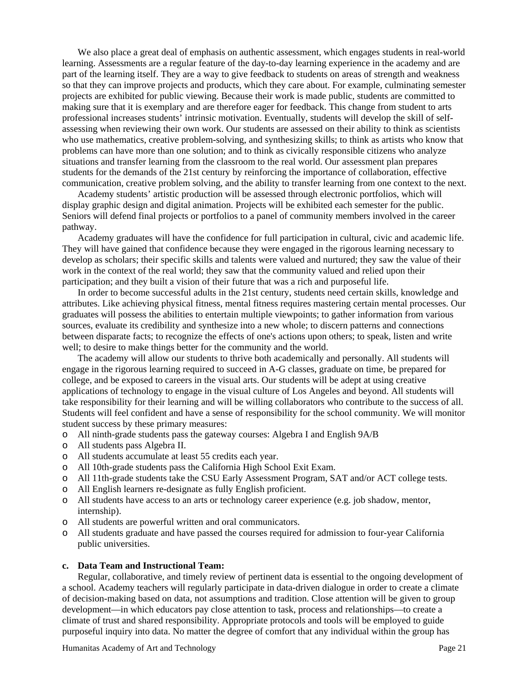We also place a great deal of emphasis on authentic assessment, which engages students in real-world learning. Assessments are a regular feature of the day-to-day learning experience in the academy and are part of the learning itself. They are a way to give feedback to students on areas of strength and weakness so that they can improve projects and products, which they care about. For example, culminating semester projects are exhibited for public viewing. Because their work is made public, students are committed to making sure that it is exemplary and are therefore eager for feedback. This change from student to arts professional increases students' intrinsic motivation. Eventually, students will develop the skill of selfassessing when reviewing their own work. Our students are assessed on their ability to think as scientists who use mathematics, creative problem-solving, and synthesizing skills; to think as artists who know that problems can have more than one solution; and to think as civically responsible citizens who analyze situations and transfer learning from the classroom to the real world. Our assessment plan prepares students for the demands of the 21st century by reinforcing the importance of collaboration, effective communication, creative problem solving, and the ability to transfer learning from one context to the next.

Academy students' artistic production will be assessed through electronic portfolios, which will display graphic design and digital animation. Projects will be exhibited each semester for the public. Seniors will defend final projects or portfolios to a panel of community members involved in the career pathway.

Academy graduates will have the confidence for full participation in cultural, civic and academic life. They will have gained that confidence because they were engaged in the rigorous learning necessary to develop as scholars; their specific skills and talents were valued and nurtured; they saw the value of their work in the context of the real world; they saw that the community valued and relied upon their participation; and they built a vision of their future that was a rich and purposeful life.

In order to become successful adults in the 21st century, students need certain skills, knowledge and attributes. Like achieving physical fitness, mental fitness requires mastering certain mental processes. Our graduates will possess the abilities to entertain multiple viewpoints; to gather information from various sources, evaluate its credibility and synthesize into a new whole; to discern patterns and connections between disparate facts; to recognize the effects of one's actions upon others; to speak, listen and write well; to desire to make things better for the community and the world.

The academy will allow our students to thrive both academically and personally. All students will engage in the rigorous learning required to succeed in A-G classes, graduate on time, be prepared for college, and be exposed to careers in the visual arts. Our students will be adept at using creative applications of technology to engage in the visual culture of Los Angeles and beyond. All students will take responsibility for their learning and will be willing collaborators who contribute to the success of all. Students will feel confident and have a sense of responsibility for the school community. We will monitor student success by these primary measures:

- o All ninth-grade students pass the gateway courses: Algebra I and English 9A/B
- o All students pass Algebra II.
- o All students accumulate at least 55 credits each year.
- o All 10th-grade students pass the California High School Exit Exam.
- o All 11th-grade students take the CSU Early Assessment Program, SAT and/or ACT college tests.
- o All English learners re-designate as fully English proficient.
- o All students have access to an arts or technology career experience (e.g. job shadow, mentor, internship).
- o All students are powerful written and oral communicators.
- All students graduate and have passed the courses required for admission to four-year California public universities.

#### **c. Data Team and Instructional Team:**

Regular, collaborative, and timely review of pertinent data is essential to the ongoing development of a school. Academy teachers will regularly participate in data-driven dialogue in order to create a climate of decision-making based on data, not assumptions and tradition. Close attention will be given to group development—in which educators pay close attention to task, process and relationships—to create a climate of trust and shared responsibility. Appropriate protocols and tools will be employed to guide purposeful inquiry into data. No matter the degree of comfort that any individual within the group has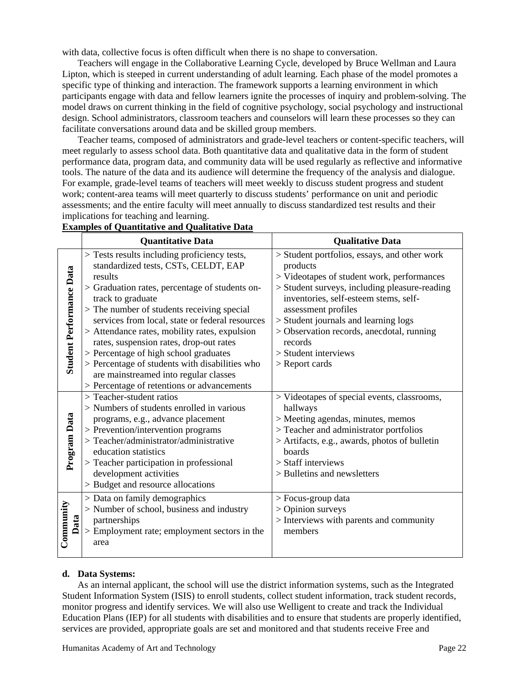with data, collective focus is often difficult when there is no shape to conversation.

Teachers will engage in the Collaborative Learning Cycle, developed by Bruce Wellman and Laura Lipton, which is steeped in current understanding of adult learning. Each phase of the model promotes a specific type of thinking and interaction. The framework supports a learning environment in which participants engage with data and fellow learners ignite the processes of inquiry and problem-solving. The model draws on current thinking in the field of cognitive psychology, social psychology and instructional design. School administrators, classroom teachers and counselors will learn these processes so they can facilitate conversations around data and be skilled group members.

Teacher teams, composed of administrators and grade-level teachers or content-specific teachers, will meet regularly to assess school data. Both quantitative data and qualitative data in the form of student performance data, program data, and community data will be used regularly as reflective and informative tools. The nature of the data and its audience will determine the frequency of the analysis and dialogue. For example, grade-level teams of teachers will meet weekly to discuss student progress and student work; content-area teams will meet quarterly to discuss students' performance on unit and periodic assessments; and the entire faculty will meet annually to discuss standardized test results and their implications for teaching and learning.

|                                 | <b>Quantitative Data</b>                                                                                                                                                                                                                                                                                                       | <b>Qualitative Data</b>                                                                                                                                                                                                                                                                                      |
|---------------------------------|--------------------------------------------------------------------------------------------------------------------------------------------------------------------------------------------------------------------------------------------------------------------------------------------------------------------------------|--------------------------------------------------------------------------------------------------------------------------------------------------------------------------------------------------------------------------------------------------------------------------------------------------------------|
| <b>Student Performance Data</b> | > Tests results including proficiency tests,<br>standardized tests, CSTs, CELDT, EAP<br>results<br>> Graduation rates, percentage of students on-<br>track to graduate<br>> The number of students receiving special<br>services from local, state or federal resources<br>> Attendance rates, mobility rates, expulsion       | > Student portfolios, essays, and other work<br>products<br>> Videotapes of student work, performances<br>> Student surveys, including pleasure-reading<br>inventories, self-esteem stems, self-<br>assessment profiles<br>> Student journals and learning logs<br>> Observation records, anecdotal, running |
|                                 | rates, suspension rates, drop-out rates<br>> Percentage of high school graduates<br>> Percentage of students with disabilities who<br>are mainstreamed into regular classes<br>> Percentage of retentions or advancements                                                                                                      | records<br>$>$ Student interviews<br>> Report cards                                                                                                                                                                                                                                                          |
| Program Data                    | $>$ Teacher-student ratios<br>> Numbers of students enrolled in various<br>programs, e.g., advance placement<br>> Prevention/intervention programs<br>> Teacher/administrator/administrative<br>education statistics<br>> Teacher participation in professional<br>development activities<br>> Budget and resource allocations | > Videotapes of special events, classrooms,<br>hallways<br>> Meeting agendas, minutes, memos<br>> Teacher and administrator portfolios<br>> Artifacts, e.g., awards, photos of bulletin<br>boards<br>> Staff interviews<br>> Bulletins and newsletters                                                       |
| Community<br>Data               | > Data on family demographics<br>> Number of school, business and industry<br>partnerships<br>> Employment rate; employment sectors in the<br>area                                                                                                                                                                             | > Focus-group data<br>> Opinion surveys<br>> Interviews with parents and community<br>members                                                                                                                                                                                                                |

# **Examples of Quantitative and Qualitative Data**

## **d. Data Systems:**

As an internal applicant, the school will use the district information systems, such as the Integrated Student Information System (ISIS) to enroll students, collect student information, track student records, monitor progress and identify services. We will also use Welligent to create and track the Individual Education Plans (IEP) for all students with disabilities and to ensure that students are properly identified, services are provided, appropriate goals are set and monitored and that students receive Free and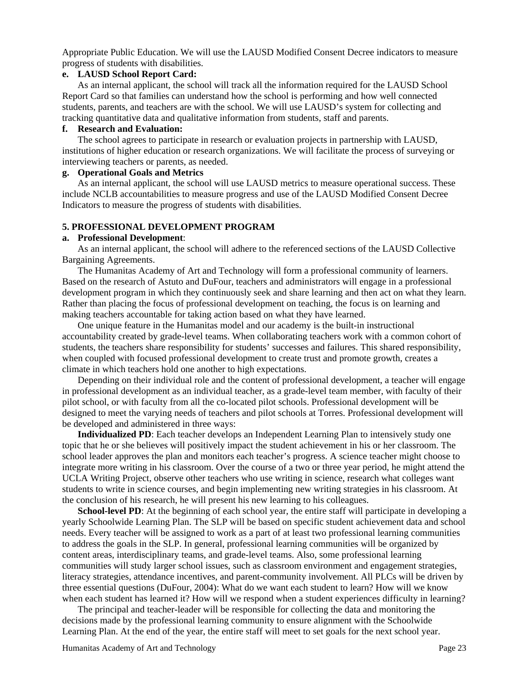Appropriate Public Education. We will use the LAUSD Modified Consent Decree indicators to measure progress of students with disabilities.

# **e. LAUSD School Report Card:**

As an internal applicant, the school will track all the information required for the LAUSD School Report Card so that families can understand how the school is performing and how well connected students, parents, and teachers are with the school. We will use LAUSD's system for collecting and tracking quantitative data and qualitative information from students, staff and parents.

#### **f. Research and Evaluation:**

The school agrees to participate in research or evaluation projects in partnership with LAUSD, institutions of higher education or research organizations. We will facilitate the process of surveying or interviewing teachers or parents, as needed.

## **g. Operational Goals and Metrics**

As an internal applicant, the school will use LAUSD metrics to measure operational success. These include NCLB accountabilities to measure progress and use of the LAUSD Modified Consent Decree Indicators to measure the progress of students with disabilities.

#### **5. PROFESSIONAL DEVELOPMENT PROGRAM**

## **a. Professional Development**:

As an internal applicant, the school will adhere to the referenced sections of the LAUSD Collective Bargaining Agreements.

The Humanitas Academy of Art and Technology will form a professional community of learners. Based on the research of Astuto and DuFour, teachers and administrators will engage in a professional development program in which they continuously seek and share learning and then act on what they learn. Rather than placing the focus of professional development on teaching, the focus is on learning and making teachers accountable for taking action based on what they have learned.

One unique feature in the Humanitas model and our academy is the built-in instructional accountability created by grade-level teams. When collaborating teachers work with a common cohort of students, the teachers share responsibility for students' successes and failures. This shared responsibility, when coupled with focused professional development to create trust and promote growth, creates a climate in which teachers hold one another to high expectations.

Depending on their individual role and the content of professional development, a teacher will engage in professional development as an individual teacher, as a grade-level team member, with faculty of their pilot school, or with faculty from all the co-located pilot schools. Professional development will be designed to meet the varying needs of teachers and pilot schools at Torres. Professional development will be developed and administered in three ways:

**Individualized PD**: Each teacher develops an Independent Learning Plan to intensively study one topic that he or she believes will positively impact the student achievement in his or her classroom. The school leader approves the plan and monitors each teacher's progress. A science teacher might choose to integrate more writing in his classroom. Over the course of a two or three year period, he might attend the UCLA Writing Project, observe other teachers who use writing in science, research what colleges want students to write in science courses, and begin implementing new writing strategies in his classroom. At the conclusion of his research, he will present his new learning to his colleagues.

**School-level PD**: At the beginning of each school year, the entire staff will participate in developing a yearly Schoolwide Learning Plan. The SLP will be based on specific student achievement data and school needs. Every teacher will be assigned to work as a part of at least two professional learning communities to address the goals in the SLP. In general, professional learning communities will be organized by content areas, interdisciplinary teams, and grade-level teams. Also, some professional learning communities will study larger school issues, such as classroom environment and engagement strategies, literacy strategies, attendance incentives, and parent-community involvement. All PLCs will be driven by three essential questions (DuFour, 2004): What do we want each student to learn? How will we know when each student has learned it? How will we respond when a student experiences difficulty in learning?

The principal and teacher-leader will be responsible for collecting the data and monitoring the decisions made by the professional learning community to ensure alignment with the Schoolwide Learning Plan. At the end of the year, the entire staff will meet to set goals for the next school year.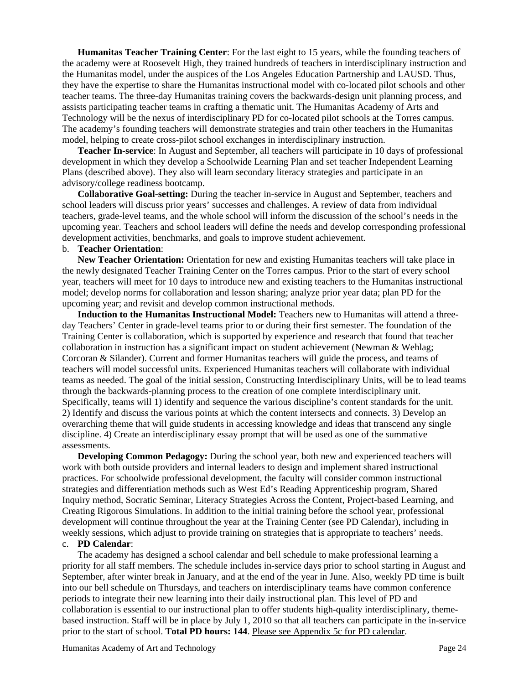**Humanitas Teacher Training Center**: For the last eight to 15 years, while the founding teachers of the academy were at Roosevelt High, they trained hundreds of teachers in interdisciplinary instruction and the Humanitas model, under the auspices of the Los Angeles Education Partnership and LAUSD. Thus, they have the expertise to share the Humanitas instructional model with co-located pilot schools and other teacher teams. The three-day Humanitas training covers the backwards-design unit planning process, and assists participating teacher teams in crafting a thematic unit. The Humanitas Academy of Arts and Technology will be the nexus of interdisciplinary PD for co-located pilot schools at the Torres campus. The academy's founding teachers will demonstrate strategies and train other teachers in the Humanitas model, helping to create cross-pilot school exchanges in interdisciplinary instruction.

**Teacher In-service**: In August and September, all teachers will participate in 10 days of professional development in which they develop a Schoolwide Learning Plan and set teacher Independent Learning Plans (described above). They also will learn secondary literacy strategies and participate in an advisory/college readiness bootcamp.

**Collaborative Goal-setting:** During the teacher in-service in August and September, teachers and school leaders will discuss prior years' successes and challenges. A review of data from individual teachers, grade-level teams, and the whole school will inform the discussion of the school's needs in the upcoming year. Teachers and school leaders will define the needs and develop corresponding professional development activities, benchmarks, and goals to improve student achievement.

#### b. **Teacher Orientation**:

**New Teacher Orientation:** Orientation for new and existing Humanitas teachers will take place in the newly designated Teacher Training Center on the Torres campus. Prior to the start of every school year, teachers will meet for 10 days to introduce new and existing teachers to the Humanitas instructional model; develop norms for collaboration and lesson sharing; analyze prior year data; plan PD for the upcoming year; and revisit and develop common instructional methods.

**Induction to the Humanitas Instructional Model:** Teachers new to Humanitas will attend a threeday Teachers' Center in grade-level teams prior to or during their first semester. The foundation of the Training Center is collaboration, which is supported by experience and research that found that teacher collaboration in instruction has a significant impact on student achievement (Newman & Wehlag; Corcoran & Silander). Current and former Humanitas teachers will guide the process, and teams of teachers will model successful units. Experienced Humanitas teachers will collaborate with individual teams as needed. The goal of the initial session, Constructing Interdisciplinary Units, will be to lead teams through the backwards-planning process to the creation of one complete interdisciplinary unit. Specifically, teams will 1) identify and sequence the various discipline's content standards for the unit. 2) Identify and discuss the various points at which the content intersects and connects. 3) Develop an overarching theme that will guide students in accessing knowledge and ideas that transcend any single discipline. 4) Create an interdisciplinary essay prompt that will be used as one of the summative assessments.

**Developing Common Pedagogy:** During the school year, both new and experienced teachers will work with both outside providers and internal leaders to design and implement shared instructional practices. For schoolwide professional development, the faculty will consider common instructional strategies and differentiation methods such as West Ed's Reading Apprenticeship program, Shared Inquiry method, Socratic Seminar, Literacy Strategies Across the Content, Project-based Learning, and Creating Rigorous Simulations. In addition to the initial training before the school year, professional development will continue throughout the year at the Training Center (see PD Calendar), including in weekly sessions, which adjust to provide training on strategies that is appropriate to teachers' needs.

## c. **PD Calendar**:

The academy has designed a school calendar and bell schedule to make professional learning a priority for all staff members. The schedule includes in-service days prior to school starting in August and September, after winter break in January, and at the end of the year in June. Also, weekly PD time is built into our bell schedule on Thursdays, and teachers on interdisciplinary teams have common conference periods to integrate their new learning into their daily instructional plan. This level of PD and collaboration is essential to our instructional plan to offer students high-quality interdisciplinary, themebased instruction. Staff will be in place by July 1, 2010 so that all teachers can participate in the in-service prior to the start of school. **Total PD hours: 144**. Please see Appendix 5c for PD calendar.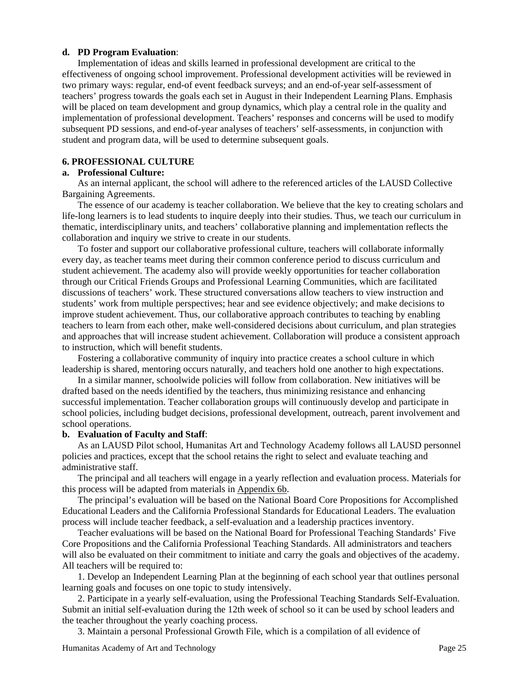## **d. PD Program Evaluation**:

Implementation of ideas and skills learned in professional development are critical to the effectiveness of ongoing school improvement. Professional development activities will be reviewed in two primary ways: regular, end-of event feedback surveys; and an end-of-year self-assessment of teachers' progress towards the goals each set in August in their Independent Learning Plans. Emphasis will be placed on team development and group dynamics, which play a central role in the quality and implementation of professional development. Teachers' responses and concerns will be used to modify subsequent PD sessions, and end-of-year analyses of teachers' self-assessments, in conjunction with student and program data, will be used to determine subsequent goals.

## **6. PROFESSIONAL CULTURE**

## **a. Professional Culture:**

As an internal applicant, the school will adhere to the referenced articles of the LAUSD Collective Bargaining Agreements.

The essence of our academy is teacher collaboration. We believe that the key to creating scholars and life-long learners is to lead students to inquire deeply into their studies. Thus, we teach our curriculum in thematic, interdisciplinary units, and teachers' collaborative planning and implementation reflects the collaboration and inquiry we strive to create in our students.

To foster and support our collaborative professional culture, teachers will collaborate informally every day, as teacher teams meet during their common conference period to discuss curriculum and student achievement. The academy also will provide weekly opportunities for teacher collaboration through our Critical Friends Groups and Professional Learning Communities, which are facilitated discussions of teachers' work. These structured conversations allow teachers to view instruction and students' work from multiple perspectives; hear and see evidence objectively; and make decisions to improve student achievement. Thus, our collaborative approach contributes to teaching by enabling teachers to learn from each other, make well-considered decisions about curriculum, and plan strategies and approaches that will increase student achievement. Collaboration will produce a consistent approach to instruction, which will benefit students.

Fostering a collaborative community of inquiry into practice creates a school culture in which leadership is shared, mentoring occurs naturally, and teachers hold one another to high expectations.

In a similar manner, schoolwide policies will follow from collaboration. New initiatives will be drafted based on the needs identified by the teachers, thus minimizing resistance and enhancing successful implementation. Teacher collaboration groups will continuously develop and participate in school policies, including budget decisions, professional development, outreach, parent involvement and school operations.

#### **b. Evaluation of Faculty and Staff**:

As an LAUSD Pilot school, Humanitas Art and Technology Academy follows all LAUSD personnel policies and practices, except that the school retains the right to select and evaluate teaching and administrative staff.

The principal and all teachers will engage in a yearly reflection and evaluation process. Materials for this process will be adapted from materials in Appendix 6b.

The principal's evaluation will be based on the National Board Core Propositions for Accomplished Educational Leaders and the California Professional Standards for Educational Leaders. The evaluation process will include teacher feedback, a self-evaluation and a leadership practices inventory.

Teacher evaluations will be based on the National Board for Professional Teaching Standards' Five Core Propositions and the California Professional Teaching Standards. All administrators and teachers will also be evaluated on their commitment to initiate and carry the goals and objectives of the academy. All teachers will be required to:

1. Develop an Independent Learning Plan at the beginning of each school year that outlines personal learning goals and focuses on one topic to study intensively.

2. Participate in a yearly self-evaluation, using the Professional Teaching Standards Self-Evaluation. Submit an initial self-evaluation during the 12th week of school so it can be used by school leaders and the teacher throughout the yearly coaching process.

3. Maintain a personal Professional Growth File, which is a compilation of all evidence of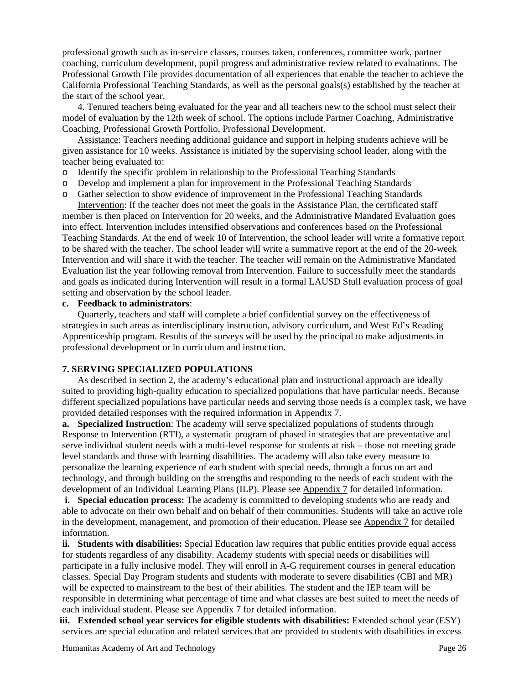professional growth such as in-service classes, courses taken, conferences, committee work, partner coaching, curriculum development, pupil progress and administrative review related to evaluations. The Professional Growth File provides documentation of all experiences that enable the teacher to achieve the California Professional Teaching Standards, as well as the personal goals(s) established by the teacher at the start of the school year.

4. Tenured teachers being evaluated for the year and all teachers new to the school must select their model of evaluation by the 12th week of school. The options include Partner Coaching, Administrative Coaching, Professional Growth Portfolio, Professional Development.

Assistance: Teachers needing additional guidance and support in helping students achieve will be given assistance for 10 weeks. Assistance is initiated by the supervising school leader, along with the teacher being evaluated to:

- o Identify the specific problem in relationship to the Professional Teaching Standards
- o Develop and implement a plan for improvement in the Professional Teaching Standards
- o Gather selection to show evidence of improvement in the Professional Teaching Standards

Intervention: If the teacher does not meet the goals in the Assistance Plan, the certificated staff member is then placed on Intervention for 20 weeks, and the Administrative Mandated Evaluation goes into effect. Intervention includes intensified observations and conferences based on the Professional Teaching Standards. At the end of week 10 of Intervention, the school leader will write a formative report to be shared with the teacher. The school leader will write a summative report at the end of the 20-week Intervention and will share it with the teacher. The teacher will remain on the Administrative Mandated Evaluation list the year following removal from Intervention. Failure to successfully meet the standards and goals as indicated during Intervention will result in a formal LAUSD Stull evaluation process of goal setting and observation by the school leader.

#### **c. Feedback to administrators**:

Quarterly, teachers and staff will complete a brief confidential survey on the effectiveness of strategies in such areas as interdisciplinary instruction, advisory curriculum, and West Ed's Reading Apprenticeship program. Results of the surveys will be used by the principal to make adjustments in professional development or in curriculum and instruction.

#### **7. SERVING SPECIALIZED POPULATIONS**

As described in section 2, the academy's educational plan and instructional approach are ideally suited to providing high-quality education to specialized populations that have particular needs. Because different specialized populations have particular needs and serving those needs is a complex task, we have provided detailed responses with the required information in Appendix 7.

**a. Specialized Instruction**: The academy will serve specialized populations of students through Response to Intervention (RTI), a systematic program of phased in strategies that are preventative and serve individual student needs with a multi-level response for students at risk – those not meeting grade level standards and those with learning disabilities. The academy will also take every measure to personalize the learning experience of each student with special needs, through a focus on art and technology, and through building on the strengths and responding to the needs of each student with the development of an Individual Learning Plans (ILP). Please see Appendix 7 for detailed information.

**i. Special education process:** The academy is committed to developing students who are ready and able to advocate on their own behalf and on behalf of their communities. Students will take an active role in the development, management, and promotion of their education. Please see Appendix 7 for detailed information.

**ii. Students with disabilities:** Special Education law requires that public entities provide equal access for students regardless of any disability. Academy students with special needs or disabilities will participate in a fully inclusive model. They will enroll in A-G requirement courses in general education classes. Special Day Program students and students with moderate to severe disabilities (CBI and MR) will be expected to mainstream to the best of their abilities. The student and the IEP team will be responsible in determining what percentage of time and what classes are best suited to meet the needs of each individual student. Please see Appendix 7 for detailed information.

**iii. Extended school year services for eligible students with disabilities:** Extended school year (ESY) services are special education and related services that are provided to students with disabilities in excess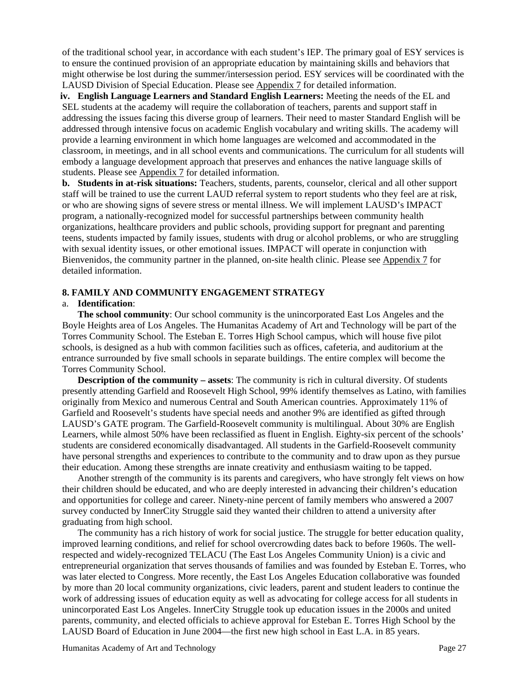of the traditional school year, in accordance with each student's IEP. The primary goal of ESY services is to ensure the continued provision of an appropriate education by maintaining skills and behaviors that might otherwise be lost during the summer/intersession period. ESY services will be coordinated with the LAUSD Division of Special Education. Please see Appendix 7 for detailed information.

**iv. English Language Learners and Standard English Learners:** Meeting the needs of the EL and SEL students at the academy will require the collaboration of teachers, parents and support staff in addressing the issues facing this diverse group of learners. Their need to master Standard English will be addressed through intensive focus on academic English vocabulary and writing skills. The academy will provide a learning environment in which home languages are welcomed and accommodated in the classroom, in meetings, and in all school events and communications. The curriculum for all students will embody a language development approach that preserves and enhances the native language skills of students. Please see Appendix 7 for detailed information.

**b. Students in at-risk situations:** Teachers, students, parents, counselor, clerical and all other support staff will be trained to use the current LAUD referral system to report students who they feel are at risk, or who are showing signs of severe stress or mental illness. We will implement LAUSD's IMPACT program, a nationally-recognized model for successful partnerships between community health organizations, healthcare providers and public schools, providing support for pregnant and parenting teens, students impacted by family issues, students with drug or alcohol problems, or who are struggling with sexual identity issues, or other emotional issues. IMPACT will operate in conjunction with Bienvenidos, the community partner in the planned, on-site health clinic. Please see Appendix 7 for detailed information.

## **8. FAMILY AND COMMUNITY ENGAGEMENT STRATEGY**

#### a. **Identification**:

**The school community**: Our school community is the unincorporated East Los Angeles and the Boyle Heights area of Los Angeles. The Humanitas Academy of Art and Technology will be part of the Torres Community School. The Esteban E. Torres High School campus, which will house five pilot schools, is designed as a hub with common facilities such as offices, cafeteria, and auditorium at the entrance surrounded by five small schools in separate buildings. The entire complex will become the Torres Community School.

**Description of the community – assets**: The community is rich in cultural diversity. Of students presently attending Garfield and Roosevelt High School, 99% identify themselves as Latino, with families originally from Mexico and numerous Central and South American countries. Approximately 11% of Garfield and Roosevelt's students have special needs and another 9% are identified as gifted through LAUSD's GATE program. The Garfield-Roosevelt community is multilingual. About 30% are English Learners, while almost 50% have been reclassified as fluent in English. Eighty-six percent of the schools' students are considered economically disadvantaged. All students in the Garfield-Roosevelt community have personal strengths and experiences to contribute to the community and to draw upon as they pursue their education. Among these strengths are innate creativity and enthusiasm waiting to be tapped.

Another strength of the community is its parents and caregivers, who have strongly felt views on how their children should be educated, and who are deeply interested in advancing their children's education and opportunities for college and career. Ninety-nine percent of family members who answered a 2007 survey conducted by InnerCity Struggle said they wanted their children to attend a university after graduating from high school.

The community has a rich history of work for social justice. The struggle for better education quality, improved learning conditions, and relief for school overcrowding dates back to before 1960s. The wellrespected and widely-recognized TELACU (The East Los Angeles Community Union) is a civic and entrepreneurial organization that serves thousands of families and was founded by Esteban E. Torres, who was later elected to Congress. More recently, the East Los Angeles Education collaborative was founded by more than 20 local community organizations, civic leaders, parent and student leaders to continue the work of addressing issues of education equity as well as advocating for college access for all students in unincorporated East Los Angeles. InnerCity Struggle took up education issues in the 2000s and united parents, community, and elected officials to achieve approval for Esteban E. Torres High School by the LAUSD Board of Education in June 2004—the first new high school in East L.A. in 85 years.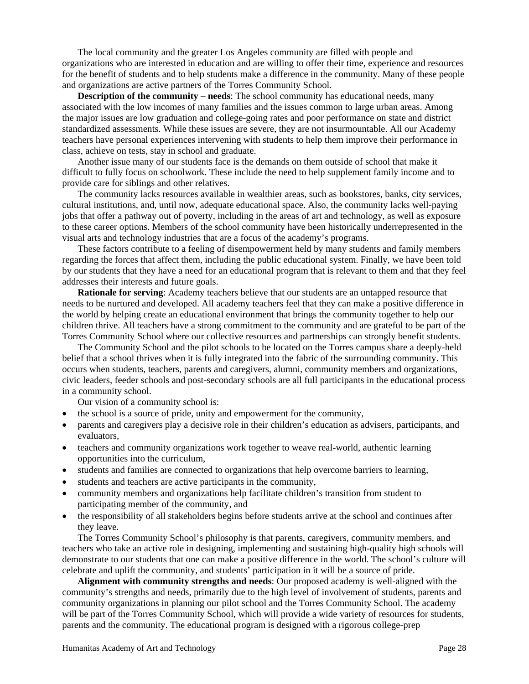The local community and the greater Los Angeles community are filled with people and organizations who are interested in education and are willing to offer their time, experience and resources for the benefit of students and to help students make a difference in the community. Many of these people and organizations are active partners of the Torres Community School.

**Description of the community – needs:** The school community has educational needs, many associated with the low incomes of many families and the issues common to large urban areas. Among the major issues are low graduation and college-going rates and poor performance on state and district standardized assessments. While these issues are severe, they are not insurmountable. All our Academy teachers have personal experiences intervening with students to help them improve their performance in class, achieve on tests, stay in school and graduate.

Another issue many of our students face is the demands on them outside of school that make it difficult to fully focus on schoolwork. These include the need to help supplement family income and to provide care for siblings and other relatives.

The community lacks resources available in wealthier areas, such as bookstores, banks, city services, cultural institutions, and, until now, adequate educational space. Also, the community lacks well-paying jobs that offer a pathway out of poverty, including in the areas of art and technology, as well as exposure to these career options. Members of the school community have been historically underrepresented in the visual arts and technology industries that are a focus of the academy's programs.

These factors contribute to a feeling of disempowerment held by many students and family members regarding the forces that affect them, including the public educational system. Finally, we have been told by our students that they have a need for an educational program that is relevant to them and that they feel addresses their interests and future goals.

**Rationale for serving**: Academy teachers believe that our students are an untapped resource that needs to be nurtured and developed. All academy teachers feel that they can make a positive difference in the world by helping create an educational environment that brings the community together to help our children thrive. All teachers have a strong commitment to the community and are grateful to be part of the Torres Community School where our collective resources and partnerships can strongly benefit students.

The Community School and the pilot schools to be located on the Torres campus share a deeply-held belief that a school thrives when it is fully integrated into the fabric of the surrounding community. This occurs when students, teachers, parents and caregivers, alumni, community members and organizations, civic leaders, feeder schools and post-secondary schools are all full participants in the educational process in a community school.

Our vision of a community school is:

- the school is a source of pride, unity and empowerment for the community,
- parents and caregivers play a decisive role in their children's education as advisers, participants, and evaluators,
- teachers and community organizations work together to weave real-world, authentic learning opportunities into the curriculum,
- students and families are connected to organizations that help overcome barriers to learning,
- students and teachers are active participants in the community,
- community members and organizations help facilitate children's transition from student to participating member of the community, and
- the responsibility of all stakeholders begins before students arrive at the school and continues after they leave.

The Torres Community School's philosophy is that parents, caregivers, community members, and teachers who take an active role in designing, implementing and sustaining high-quality high schools will demonstrate to our students that one can make a positive difference in the world. The school's culture will celebrate and uplift the community, and students' participation in it will be a source of pride.

**Alignment with community strengths and needs**: Our proposed academy is well-aligned with the community's strengths and needs, primarily due to the high level of involvement of students, parents and community organizations in planning our pilot school and the Torres Community School. The academy will be part of the Torres Community School, which will provide a wide variety of resources for students, parents and the community. The educational program is designed with a rigorous college-prep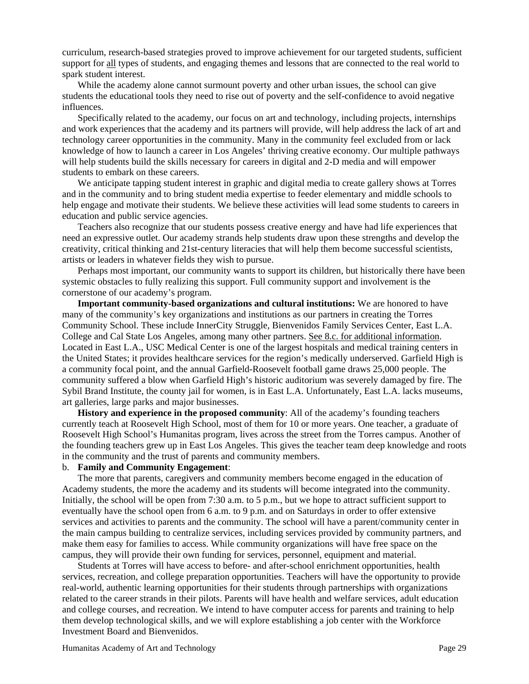curriculum, research-based strategies proved to improve achievement for our targeted students, sufficient support for all types of students, and engaging themes and lessons that are connected to the real world to spark student interest.

While the academy alone cannot surmount poverty and other urban issues, the school can give students the educational tools they need to rise out of poverty and the self-confidence to avoid negative influences.

Specifically related to the academy, our focus on art and technology, including projects, internships and work experiences that the academy and its partners will provide, will help address the lack of art and technology career opportunities in the community. Many in the community feel excluded from or lack knowledge of how to launch a career in Los Angeles' thriving creative economy. Our multiple pathways will help students build the skills necessary for careers in digital and 2-D media and will empower students to embark on these careers.

We anticipate tapping student interest in graphic and digital media to create gallery shows at Torres and in the community and to bring student media expertise to feeder elementary and middle schools to help engage and motivate their students. We believe these activities will lead some students to careers in education and public service agencies.

Teachers also recognize that our students possess creative energy and have had life experiences that need an expressive outlet. Our academy strands help students draw upon these strengths and develop the creativity, critical thinking and 21st-century literacies that will help them become successful scientists, artists or leaders in whatever fields they wish to pursue.

Perhaps most important, our community wants to support its children, but historically there have been systemic obstacles to fully realizing this support. Full community support and involvement is the cornerstone of our academy's program.

**Important community-based organizations and cultural institutions:** We are honored to have many of the community's key organizations and institutions as our partners in creating the Torres Community School. These include InnerCity Struggle, Bienvenidos Family Services Center, East L.A. College and Cal State Los Angeles, among many other partners. See 8.c. for additional information. Located in East L.A., USC Medical Center is one of the largest hospitals and medical training centers in the United States; it provides healthcare services for the region's medically underserved. Garfield High is a community focal point, and the annual Garfield-Roosevelt football game draws 25,000 people. The community suffered a blow when Garfield High's historic auditorium was severely damaged by fire. The Sybil Brand Institute, the county jail for women, is in East L.A. Unfortunately, East L.A. lacks museums, art galleries, large parks and major businesses.

**History and experience in the proposed community**: All of the academy's founding teachers currently teach at Roosevelt High School, most of them for 10 or more years. One teacher, a graduate of Roosevelt High School's Humanitas program, lives across the street from the Torres campus. Another of the founding teachers grew up in East Los Angeles. This gives the teacher team deep knowledge and roots in the community and the trust of parents and community members.

## b. **Family and Community Engagement**:

The more that parents, caregivers and community members become engaged in the education of Academy students, the more the academy and its students will become integrated into the community. Initially, the school will be open from 7:30 a.m. to 5 p.m., but we hope to attract sufficient support to eventually have the school open from 6 a.m. to 9 p.m. and on Saturdays in order to offer extensive services and activities to parents and the community. The school will have a parent/community center in the main campus building to centralize services, including services provided by community partners, and make them easy for families to access. While community organizations will have free space on the campus, they will provide their own funding for services, personnel, equipment and material.

Students at Torres will have access to before- and after-school enrichment opportunities, health services, recreation, and college preparation opportunities. Teachers will have the opportunity to provide real-world, authentic learning opportunities for their students through partnerships with organizations related to the career strands in their pilots. Parents will have health and welfare services, adult education and college courses, and recreation. We intend to have computer access for parents and training to help them develop technological skills, and we will explore establishing a job center with the Workforce Investment Board and Bienvenidos.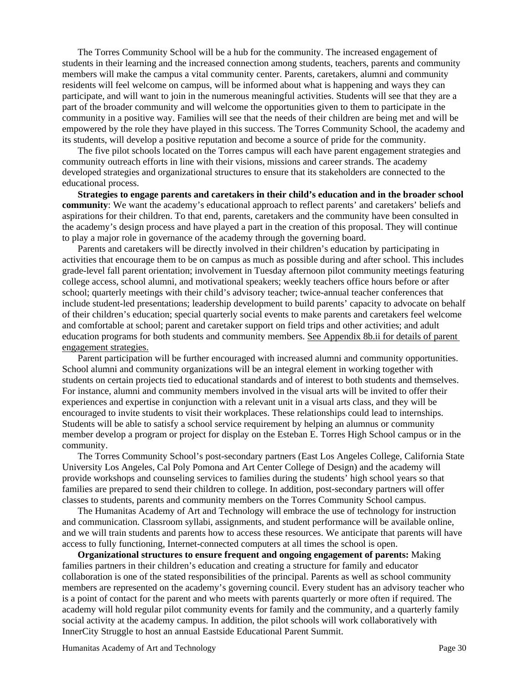The Torres Community School will be a hub for the community. The increased engagement of students in their learning and the increased connection among students, teachers, parents and community members will make the campus a vital community center. Parents, caretakers, alumni and community residents will feel welcome on campus, will be informed about what is happening and ways they can participate, and will want to join in the numerous meaningful activities. Students will see that they are a part of the broader community and will welcome the opportunities given to them to participate in the community in a positive way. Families will see that the needs of their children are being met and will be empowered by the role they have played in this success. The Torres Community School, the academy and its students, will develop a positive reputation and become a source of pride for the community.

The five pilot schools located on the Torres campus will each have parent engagement strategies and community outreach efforts in line with their visions, missions and career strands. The academy developed strategies and organizational structures to ensure that its stakeholders are connected to the educational process.

**Strategies to engage parents and caretakers in their child's education and in the broader school community**: We want the academy's educational approach to reflect parents' and caretakers' beliefs and aspirations for their children. To that end, parents, caretakers and the community have been consulted in the academy's design process and have played a part in the creation of this proposal. They will continue to play a major role in governance of the academy through the governing board.

Parents and caretakers will be directly involved in their children's education by participating in activities that encourage them to be on campus as much as possible during and after school. This includes grade-level fall parent orientation; involvement in Tuesday afternoon pilot community meetings featuring college access, school alumni, and motivational speakers; weekly teachers office hours before or after school; quarterly meetings with their child's advisory teacher; twice-annual teacher conferences that include student-led presentations; leadership development to build parents' capacity to advocate on behalf of their children's education; special quarterly social events to make parents and caretakers feel welcome and comfortable at school; parent and caretaker support on field trips and other activities; and adult education programs for both students and community members. See Appendix 8b.ii for details of parent engagement strategies.

Parent participation will be further encouraged with increased alumni and community opportunities. School alumni and community organizations will be an integral element in working together with students on certain projects tied to educational standards and of interest to both students and themselves. For instance, alumni and community members involved in the visual arts will be invited to offer their experiences and expertise in conjunction with a relevant unit in a visual arts class, and they will be encouraged to invite students to visit their workplaces. These relationships could lead to internships. Students will be able to satisfy a school service requirement by helping an alumnus or community member develop a program or project for display on the Esteban E. Torres High School campus or in the community.

The Torres Community School's post-secondary partners (East Los Angeles College, California State University Los Angeles, Cal Poly Pomona and Art Center College of Design) and the academy will provide workshops and counseling services to families during the students' high school years so that families are prepared to send their children to college. In addition, post-secondary partners will offer classes to students, parents and community members on the Torres Community School campus.

The Humanitas Academy of Art and Technology will embrace the use of technology for instruction and communication. Classroom syllabi, assignments, and student performance will be available online, and we will train students and parents how to access these resources. We anticipate that parents will have access to fully functioning, Internet-connected computers at all times the school is open.

**Organizational structures to ensure frequent and ongoing engagement of parents:** Making families partners in their children's education and creating a structure for family and educator collaboration is one of the stated responsibilities of the principal. Parents as well as school community members are represented on the academy's governing council. Every student has an advisory teacher who is a point of contact for the parent and who meets with parents quarterly or more often if required. The academy will hold regular pilot community events for family and the community, and a quarterly family social activity at the academy campus. In addition, the pilot schools will work collaboratively with InnerCity Struggle to host an annual Eastside Educational Parent Summit.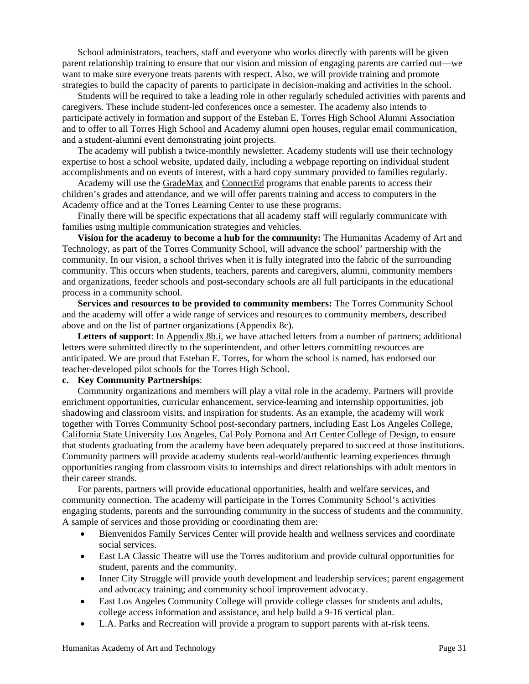School administrators, teachers, staff and everyone who works directly with parents will be given parent relationship training to ensure that our vision and mission of engaging parents are carried out—we want to make sure everyone treats parents with respect. Also, we will provide training and promote strategies to build the capacity of parents to participate in decision-making and activities in the school.

Students will be required to take a leading role in other regularly scheduled activities with parents and caregivers. These include student-led conferences once a semester. The academy also intends to participate actively in formation and support of the Esteban E. Torres High School Alumni Association and to offer to all Torres High School and Academy alumni open houses, regular email communication, and a student-alumni event demonstrating joint projects.

The academy will publish a twice-monthly newsletter. Academy students will use their technology expertise to host a school website, updated daily, including a webpage reporting on individual student accomplishments and on events of interest, with a hard copy summary provided to families regularly.

Academy will use the GradeMax and ConnectEd programs that enable parents to access their children's grades and attendance, and we will offer parents training and access to computers in the Academy office and at the Torres Learning Center to use these programs.

Finally there will be specific expectations that all academy staff will regularly communicate with families using multiple communication strategies and vehicles.

**Vision for the academy to become a hub for the community:** The Humanitas Academy of Art and Technology, as part of the Torres Community School, will advance the school' partnership with the community. In our vision, a school thrives when it is fully integrated into the fabric of the surrounding community. This occurs when students, teachers, parents and caregivers, alumni, community members and organizations, feeder schools and post-secondary schools are all full participants in the educational process in a community school.

**Services and resources to be provided to community members:** The Torres Community School and the academy will offer a wide range of services and resources to community members, described above and on the list of partner organizations (Appendix 8c).

**Letters of support**: In Appendix 8b.i, we have attached letters from a number of partners; additional letters were submitted directly to the superintendent, and other letters committing resources are anticipated. We are proud that Esteban E. Torres, for whom the school is named, has endorsed our teacher-developed pilot schools for the Torres High School.

#### **c. Key Community Partnerships**:

Community organizations and members will play a vital role in the academy. Partners will provide enrichment opportunities, curricular enhancement, service-learning and internship opportunities, job shadowing and classroom visits, and inspiration for students. As an example, the academy will work together with Torres Community School post-secondary partners, including East Los Angeles College, California State University Los Angeles, Cal Poly Pomona and Art Center College of Design, to ensure that students graduating from the academy have been adequately prepared to succeed at those institutions. Community partners will provide academy students real-world/authentic learning experiences through opportunities ranging from classroom visits to internships and direct relationships with adult mentors in their career strands.

For parents, partners will provide educational opportunities, health and welfare services, and community connection. The academy will participate in the Torres Community School's activities engaging students, parents and the surrounding community in the success of students and the community. A sample of services and those providing or coordinating them are:

- Bienvenidos Family Services Center will provide health and wellness services and coordinate social services.
- East LA Classic Theatre will use the Torres auditorium and provide cultural opportunities for student, parents and the community.
- Inner City Struggle will provide youth development and leadership services; parent engagement and advocacy training; and community school improvement advocacy.
- East Los Angeles Community College will provide college classes for students and adults, college access information and assistance, and help build a 9-16 vertical plan.
- L.A. Parks and Recreation will provide a program to support parents with at-risk teens.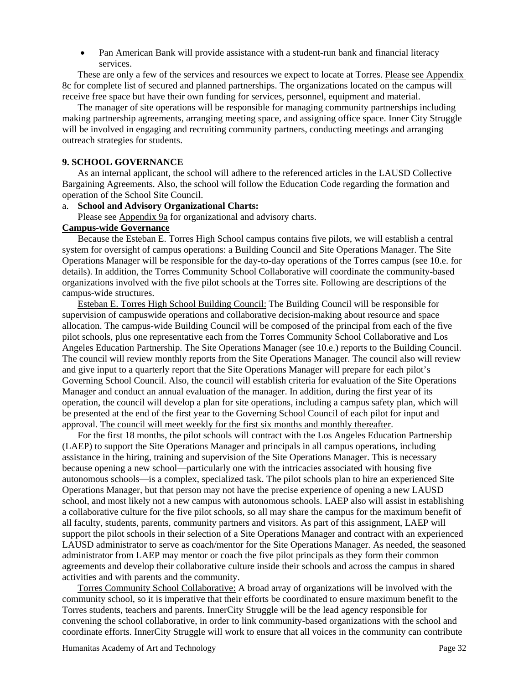Pan American Bank will provide assistance with a student-run bank and financial literacy services.

These are only a few of the services and resources we expect to locate at Torres. Please see Appendix 8c for complete list of secured and planned partnerships. The organizations located on the campus will receive free space but have their own funding for services, personnel, equipment and material.

The manager of site operations will be responsible for managing community partnerships including making partnership agreements, arranging meeting space, and assigning office space. Inner City Struggle will be involved in engaging and recruiting community partners, conducting meetings and arranging outreach strategies for students.

## **9. SCHOOL GOVERNANCE**

As an internal applicant, the school will adhere to the referenced articles in the LAUSD Collective Bargaining Agreements. Also, the school will follow the Education Code regarding the formation and operation of the School Site Council.

#### a. **School and Advisory Organizational Charts:**

Please see Appendix 9a for organizational and advisory charts.

## **Campus-wide Governance**

Because the Esteban E. Torres High School campus contains five pilots, we will establish a central system for oversight of campus operations: a Building Council and Site Operations Manager. The Site Operations Manager will be responsible for the day-to-day operations of the Torres campus (see 10.e. for details). In addition, the Torres Community School Collaborative will coordinate the community-based organizations involved with the five pilot schools at the Torres site. Following are descriptions of the campus-wide structures.

Esteban E. Torres High School Building Council: The Building Council will be responsible for supervision of campuswide operations and collaborative decision-making about resource and space allocation. The campus-wide Building Council will be composed of the principal from each of the five pilot schools, plus one representative each from the Torres Community School Collaborative and Los Angeles Education Partnership. The Site Operations Manager (see 10.e.) reports to the Building Council. The council will review monthly reports from the Site Operations Manager. The council also will review and give input to a quarterly report that the Site Operations Manager will prepare for each pilot's Governing School Council. Also, the council will establish criteria for evaluation of the Site Operations Manager and conduct an annual evaluation of the manager. In addition, during the first year of its operation, the council will develop a plan for site operations, including a campus safety plan, which will be presented at the end of the first year to the Governing School Council of each pilot for input and approval. The council will meet weekly for the first six months and monthly thereafter.

For the first 18 months, the pilot schools will contract with the Los Angeles Education Partnership (LAEP) to support the Site Operations Manager and principals in all campus operations, including assistance in the hiring, training and supervision of the Site Operations Manager. This is necessary because opening a new school—particularly one with the intricacies associated with housing five autonomous schools—is a complex, specialized task. The pilot schools plan to hire an experienced Site Operations Manager, but that person may not have the precise experience of opening a new LAUSD school, and most likely not a new campus with autonomous schools. LAEP also will assist in establishing a collaborative culture for the five pilot schools, so all may share the campus for the maximum benefit of all faculty, students, parents, community partners and visitors. As part of this assignment, LAEP will support the pilot schools in their selection of a Site Operations Manager and contract with an experienced LAUSD administrator to serve as coach/mentor for the Site Operations Manager. As needed, the seasoned administrator from LAEP may mentor or coach the five pilot principals as they form their common agreements and develop their collaborative culture inside their schools and across the campus in shared activities and with parents and the community.

Torres Community School Collaborative: A broad array of organizations will be involved with the community school, so it is imperative that their efforts be coordinated to ensure maximum benefit to the Torres students, teachers and parents. InnerCity Struggle will be the lead agency responsible for convening the school collaborative, in order to link community-based organizations with the school and coordinate efforts. InnerCity Struggle will work to ensure that all voices in the community can contribute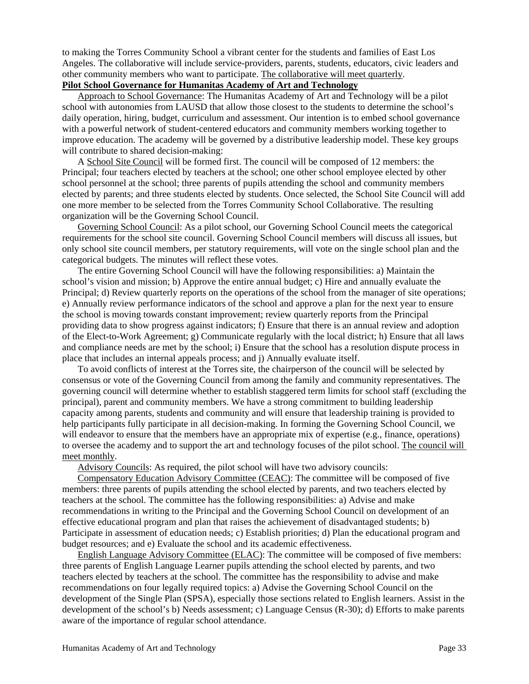to making the Torres Community School a vibrant center for the students and families of East Los Angeles. The collaborative will include service-providers, parents, students, educators, civic leaders and other community members who want to participate. The collaborative will meet quarterly.

# **Pilot School Governance for Humanitas Academy of Art and Technology**

Approach to School Governance: The Humanitas Academy of Art and Technology will be a pilot school with autonomies from LAUSD that allow those closest to the students to determine the school's daily operation, hiring, budget, curriculum and assessment. Our intention is to embed school governance with a powerful network of student-centered educators and community members working together to improve education. The academy will be governed by a distributive leadership model. These key groups will contribute to shared decision-making:

A School Site Council will be formed first. The council will be composed of 12 members: the Principal; four teachers elected by teachers at the school; one other school employee elected by other school personnel at the school; three parents of pupils attending the school and community members elected by parents; and three students elected by students. Once selected, the School Site Council will add one more member to be selected from the Torres Community School Collaborative. The resulting organization will be the Governing School Council.

Governing School Council: As a pilot school, our Governing School Council meets the categorical requirements for the school site council. Governing School Council members will discuss all issues, but only school site council members, per statutory requirements, will vote on the single school plan and the categorical budgets. The minutes will reflect these votes.

The entire Governing School Council will have the following responsibilities: a) Maintain the school's vision and mission; b) Approve the entire annual budget; c) Hire and annually evaluate the Principal; d) Review quarterly reports on the operations of the school from the manager of site operations; e) Annually review performance indicators of the school and approve a plan for the next year to ensure the school is moving towards constant improvement; review quarterly reports from the Principal providing data to show progress against indicators; f) Ensure that there is an annual review and adoption of the Elect-to-Work Agreement; g) Communicate regularly with the local district; h) Ensure that all laws and compliance needs are met by the school; i) Ensure that the school has a resolution dispute process in place that includes an internal appeals process; and j) Annually evaluate itself.

To avoid conflicts of interest at the Torres site, the chairperson of the council will be selected by consensus or vote of the Governing Council from among the family and community representatives. The governing council will determine whether to establish staggered term limits for school staff (excluding the principal), parent and community members. We have a strong commitment to building leadership capacity among parents, students and community and will ensure that leadership training is provided to help participants fully participate in all decision-making. In forming the Governing School Council, we will endeavor to ensure that the members have an appropriate mix of expertise (e.g., finance, operations) to oversee the academy and to support the art and technology focuses of the pilot school. The council will meet monthly.

Advisory Councils: As required, the pilot school will have two advisory councils:

Compensatory Education Advisory Committee (CEAC): The committee will be composed of five members: three parents of pupils attending the school elected by parents, and two teachers elected by teachers at the school. The committee has the following responsibilities: a) Advise and make recommendations in writing to the Principal and the Governing School Council on development of an effective educational program and plan that raises the achievement of disadvantaged students; b) Participate in assessment of education needs; c) Establish priorities; d) Plan the educational program and budget resources; and e) Evaluate the school and its academic effectiveness.

English Language Advisory Committee (ELAC): The committee will be composed of five members: three parents of English Language Learner pupils attending the school elected by parents, and two teachers elected by teachers at the school. The committee has the responsibility to advise and make recommendations on four legally required topics: a) Advise the Governing School Council on the development of the Single Plan (SPSA), especially those sections related to English learners. Assist in the development of the school's b) Needs assessment; c) Language Census (R-30); d) Efforts to make parents aware of the importance of regular school attendance.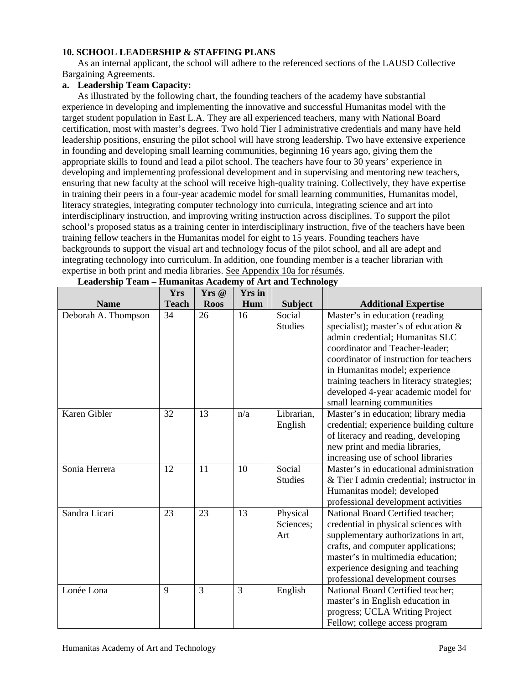# **10. SCHOOL LEADERSHIP & STAFFING PLANS**

As an internal applicant, the school will adhere to the referenced sections of the LAUSD Collective Bargaining Agreements.

## **a. Leadership Team Capacity:**

As illustrated by the following chart, the founding teachers of the academy have substantial experience in developing and implementing the innovative and successful Humanitas model with the target student population in East L.A. They are all experienced teachers, many with National Board certification, most with master's degrees. Two hold Tier I administrative credentials and many have held leadership positions, ensuring the pilot school will have strong leadership. Two have extensive experience in founding and developing small learning communities, beginning 16 years ago, giving them the appropriate skills to found and lead a pilot school. The teachers have four to 30 years' experience in developing and implementing professional development and in supervising and mentoring new teachers, ensuring that new faculty at the school will receive high-quality training. Collectively, they have expertise in training their peers in a four-year academic model for small learning communities, Humanitas model, literacy strategies, integrating computer technology into curricula, integrating science and art into interdisciplinary instruction, and improving writing instruction across disciplines. To support the pilot school's proposed status as a training center in interdisciplinary instruction, five of the teachers have been training fellow teachers in the Humanitas model for eight to 15 years. Founding teachers have backgrounds to support the visual art and technology focus of the pilot school, and all are adept and integrating technology into curriculum. In addition, one founding member is a teacher librarian with expertise in both print and media libraries. See Appendix 10a for résumés.

|                     | <b>Yrs</b>   | Yrs @       | <b>Yrs</b> in |                |                                           |
|---------------------|--------------|-------------|---------------|----------------|-------------------------------------------|
| <b>Name</b>         | <b>Teach</b> | <b>Roos</b> | Hum           | <b>Subject</b> | <b>Additional Expertise</b>               |
| Deborah A. Thompson | 34           | 26          | 16            | Social         | Master's in education (reading            |
|                     |              |             |               | <b>Studies</b> | specialist); master's of education &      |
|                     |              |             |               |                | admin credential; Humanitas SLC           |
|                     |              |             |               |                | coordinator and Teacher-leader;           |
|                     |              |             |               |                | coordinator of instruction for teachers   |
|                     |              |             |               |                | in Humanitas model; experience            |
|                     |              |             |               |                | training teachers in literacy strategies; |
|                     |              |             |               |                | developed 4-year academic model for       |
|                     |              |             |               |                | small learning communities                |
| Karen Gibler        | 32           | 13          | n/a           | Librarian,     | Master's in education; library media      |
|                     |              |             |               | English        | credential; experience building culture   |
|                     |              |             |               |                | of literacy and reading, developing       |
|                     |              |             |               |                | new print and media libraries,            |
|                     |              |             |               |                | increasing use of school libraries        |
| Sonia Herrera       | 12           | 11          | 10            | Social         | Master's in educational administration    |
|                     |              |             |               | <b>Studies</b> | & Tier I admin credential; instructor in  |
|                     |              |             |               |                | Humanitas model; developed                |
|                     |              |             |               |                | professional development activities       |
| Sandra Licari       | 23           | 23          | 13            | Physical       | National Board Certified teacher;         |
|                     |              |             |               | Sciences;      | credential in physical sciences with      |
|                     |              |             |               | Art            | supplementary authorizations in art,      |
|                     |              |             |               |                | crafts, and computer applications;        |
|                     |              |             |               |                | master's in multimedia education;         |
|                     |              |             |               |                | experience designing and teaching         |
|                     |              |             |               |                | professional development courses          |
| Lonée Lona          | 9            | 3           | 3             | English        | National Board Certified teacher;         |
|                     |              |             |               |                | master's in English education in          |
|                     |              |             |               |                | progress; UCLA Writing Project            |
|                     |              |             |               |                | Fellow; college access program            |

| Leadership Team – Humanitas Academy of Art and Technology |  |  |
|-----------------------------------------------------------|--|--|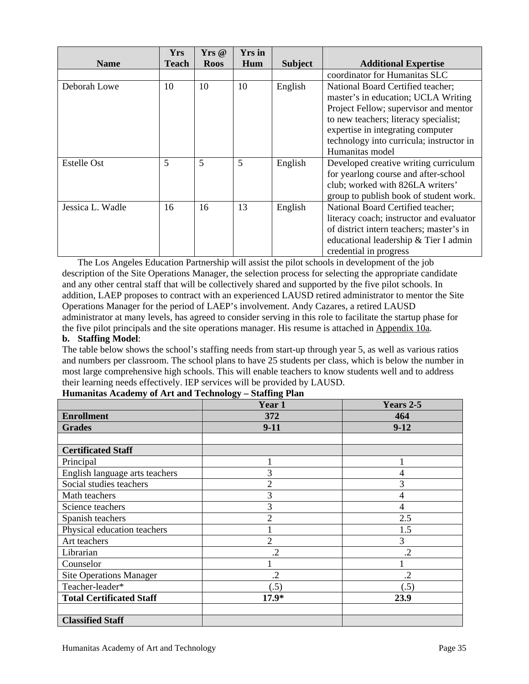|                  | <b>Yrs</b> | $Yrs \ @$   | <b>Yrs</b> in |                |                                          |
|------------------|------------|-------------|---------------|----------------|------------------------------------------|
| <b>Name</b>      | Teach      | <b>Roos</b> | Hum           | <b>Subject</b> | <b>Additional Expertise</b>              |
|                  |            |             |               |                | coordinator for Humanitas SLC            |
| Deborah Lowe     | 10         | 10          | 10            | English        | National Board Certified teacher;        |
|                  |            |             |               |                | master's in education; UCLA Writing      |
|                  |            |             |               |                | Project Fellow; supervisor and mentor    |
|                  |            |             |               |                | to new teachers; literacy specialist;    |
|                  |            |             |               |                | expertise in integrating computer        |
|                  |            |             |               |                | technology into curricula; instructor in |
|                  |            |             |               |                | Humanitas model                          |
| Estelle Ost      | 5          | 5           | 5             | English        | Developed creative writing curriculum    |
|                  |            |             |               |                | for yearlong course and after-school     |
|                  |            |             |               |                | club; worked with 826LA writers'         |
|                  |            |             |               |                | group to publish book of student work.   |
| Jessica L. Wadle | 16         | 16          | 13            | English        | National Board Certified teacher;        |
|                  |            |             |               |                | literacy coach; instructor and evaluator |
|                  |            |             |               |                | of district intern teachers; master's in |
|                  |            |             |               |                | educational leadership & Tier I admin    |
|                  |            |             |               |                | credential in progress                   |

The Los Angeles Education Partnership will assist the pilot schools in development of the job description of the Site Operations Manager, the selection process for selecting the appropriate candidate and any other central staff that will be collectively shared and supported by the five pilot schools. In addition, LAEP proposes to contract with an experienced LAUSD retired administrator to mentor the Site Operations Manager for the period of LAEP's involvement. Andy Cazares, a retired LAUSD administrator at many levels, has agreed to consider serving in this role to facilitate the startup phase for the five pilot principals and the site operations manager. His resume is attached in Appendix 10a.

# **b. Staffing Model**:

The table below shows the school's staffing needs from start-up through year 5, as well as various ratios and numbers per classroom. The school plans to have 25 students per class, which is below the number in most large comprehensive high schools. This will enable teachers to know students well and to address their learning needs effectively. IEP services will be provided by LAUSD.

|                                 | Year 1         | Years 2-5 |
|---------------------------------|----------------|-----------|
| <b>Enrollment</b>               | 372            | 464       |
| <b>Grades</b>                   | $9-11$         | $9-12$    |
|                                 |                |           |
| <b>Certificated Staff</b>       |                |           |
| Principal                       |                |           |
| English language arts teachers  | 3              | 4         |
| Social studies teachers         | 2              | 3         |
| Math teachers                   | 3              | 4         |
| Science teachers                | 3              | 4         |
| Spanish teachers                | 2              | 2.5       |
| Physical education teachers     |                | 1.5       |
| Art teachers                    | $\overline{2}$ | 3         |
| Librarian                       | $\cdot$        | .2        |
| Counselor                       |                |           |
| <b>Site Operations Manager</b>  | $\cdot$        | $\cdot$   |
| Teacher-leader*                 | (.5)           | (.5)      |
| <b>Total Certificated Staff</b> | $17.9*$        | 23.9      |
|                                 |                |           |
| <b>Classified Staff</b>         |                |           |

| Humanitas Academy of Art and Technology - Staffing Plan |  |  |
|---------------------------------------------------------|--|--|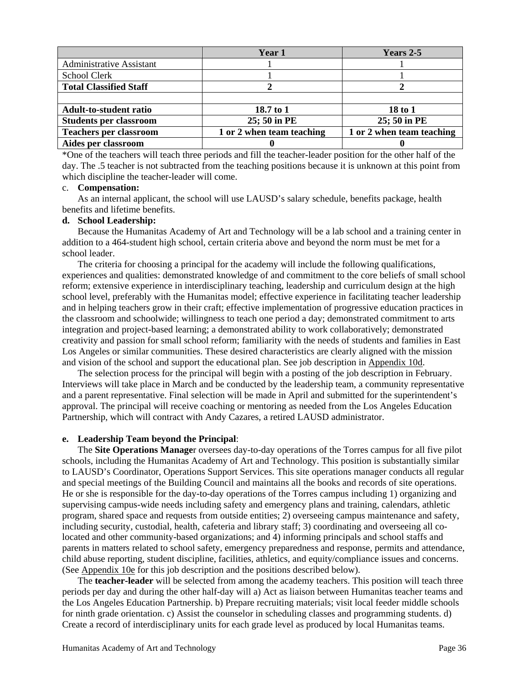|                                 | Year 1                    | Years 2-5                 |
|---------------------------------|---------------------------|---------------------------|
| <b>Administrative Assistant</b> |                           |                           |
| School Clerk                    |                           |                           |
| <b>Total Classified Staff</b>   |                           |                           |
|                                 |                           |                           |
| <b>Adult-to-student ratio</b>   | 18.7 to 1                 | 18 to 1                   |
| <b>Students per classroom</b>   | 25; 50 in PE              | 25; 50 in PE              |
| <b>Teachers per classroom</b>   | 1 or 2 when team teaching | 1 or 2 when team teaching |
| Aides per classroom             |                           |                           |

\*One of the teachers will teach three periods and fill the teacher-leader position for the other half of the day. The .5 teacher is not subtracted from the teaching positions because it is unknown at this point from which discipline the teacher-leader will come.

#### c. **Compensation:**

As an internal applicant, the school will use LAUSD's salary schedule, benefits package, health benefits and lifetime benefits.

## **d. School Leadership:**

Because the Humanitas Academy of Art and Technology will be a lab school and a training center in addition to a 464-student high school, certain criteria above and beyond the norm must be met for a school leader.

The criteria for choosing a principal for the academy will include the following qualifications, experiences and qualities: demonstrated knowledge of and commitment to the core beliefs of small school reform; extensive experience in interdisciplinary teaching, leadership and curriculum design at the high school level, preferably with the Humanitas model; effective experience in facilitating teacher leadership and in helping teachers grow in their craft; effective implementation of progressive education practices in the classroom and schoolwide; willingness to teach one period a day; demonstrated commitment to arts integration and project-based learning; a demonstrated ability to work collaboratively; demonstrated creativity and passion for small school reform; familiarity with the needs of students and families in East Los Angeles or similar communities. These desired characteristics are clearly aligned with the mission and vision of the school and support the educational plan. See job description in Appendix 10d.

The selection process for the principal will begin with a posting of the job description in February. Interviews will take place in March and be conducted by the leadership team, a community representative and a parent representative. Final selection will be made in April and submitted for the superintendent's approval. The principal will receive coaching or mentoring as needed from the Los Angeles Education Partnership, which will contract with Andy Cazares, a retired LAUSD administrator.

#### **e. Leadership Team beyond the Principal**:

The **Site Operations Manage**r oversees day-to-day operations of the Torres campus for all five pilot schools, including the Humanitas Academy of Art and Technology. This position is substantially similar to LAUSD's Coordinator, Operations Support Services. This site operations manager conducts all regular and special meetings of the Building Council and maintains all the books and records of site operations. He or she is responsible for the day-to-day operations of the Torres campus including 1) organizing and supervising campus-wide needs including safety and emergency plans and training, calendars, athletic program, shared space and requests from outside entities; 2) overseeing campus maintenance and safety, including security, custodial, health, cafeteria and library staff; 3) coordinating and overseeing all colocated and other community-based organizations; and 4) informing principals and school staffs and parents in matters related to school safety, emergency preparedness and response, permits and attendance, child abuse reporting, student discipline, facilities, athletics, and equity/compliance issues and concerns. (See Appendix 10e for this job description and the positions described below).

The **teacher-leader** will be selected from among the academy teachers. This position will teach three periods per day and during the other half-day will a) Act as liaison between Humanitas teacher teams and the Los Angeles Education Partnership. b) Prepare recruiting materials; visit local feeder middle schools for ninth grade orientation. c) Assist the counselor in scheduling classes and programming students. d) Create a record of interdisciplinary units for each grade level as produced by local Humanitas teams.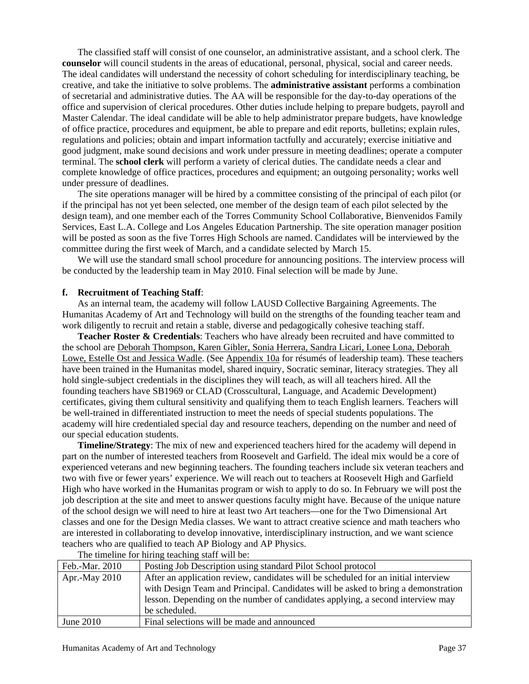The classified staff will consist of one counselor, an administrative assistant, and a school clerk. The **counselor** will council students in the areas of educational, personal, physical, social and career needs. The ideal candidates will understand the necessity of cohort scheduling for interdisciplinary teaching, be creative, and take the initiative to solve problems. The **administrative assistant** performs a combination of secretarial and administrative duties. The AA will be responsible for the day-to-day operations of the office and supervision of clerical procedures. Other duties include helping to prepare budgets, payroll and Master Calendar. The ideal candidate will be able to help administrator prepare budgets, have knowledge of office practice, procedures and equipment, be able to prepare and edit reports, bulletins; explain rules, regulations and policies; obtain and impart information tactfully and accurately; exercise initiative and good judgment, make sound decisions and work under pressure in meeting deadlines; operate a computer terminal. The **school clerk** will perform a variety of clerical duties. The candidate needs a clear and complete knowledge of office practices, procedures and equipment; an outgoing personality; works well under pressure of deadlines.

The site operations manager will be hired by a committee consisting of the principal of each pilot (or if the principal has not yet been selected, one member of the design team of each pilot selected by the design team), and one member each of the Torres Community School Collaborative, Bienvenidos Family Services, East L.A. College and Los Angeles Education Partnership. The site operation manager position will be posted as soon as the five Torres High Schools are named. Candidates will be interviewed by the committee during the first week of March, and a candidate selected by March 15.

We will use the standard small school procedure for announcing positions. The interview process will be conducted by the leadership team in May 2010. Final selection will be made by June.

#### **f. Recruitment of Teaching Staff**:

As an internal team, the academy will follow LAUSD Collective Bargaining Agreements. The Humanitas Academy of Art and Technology will build on the strengths of the founding teacher team and work diligently to recruit and retain a stable, diverse and pedagogically cohesive teaching staff.

**Teacher Roster & Credentials**: Teachers who have already been recruited and have committed to the school are Deborah Thompson, Karen Gibler, Sonia Herrera, Sandra Licari, Lonee Lona, Deborah Lowe, Estelle Ost and Jessica Wadle. (See Appendix 10a for résumés of leadership team). These teachers have been trained in the Humanitas model, shared inquiry, Socratic seminar, literacy strategies. They all hold single-subject credentials in the disciplines they will teach, as will all teachers hired. All the founding teachers have SB1969 or CLAD (Crosscultural, Language, and Academic Development) certificates, giving them cultural sensitivity and qualifying them to teach English learners. Teachers will be well-trained in differentiated instruction to meet the needs of special students populations. The academy will hire credentialed special day and resource teachers, depending on the number and need of our special education students.

**Timeline/Strategy**: The mix of new and experienced teachers hired for the academy will depend in part on the number of interested teachers from Roosevelt and Garfield. The ideal mix would be a core of experienced veterans and new beginning teachers. The founding teachers include six veteran teachers and two with five or fewer years' experience. We will reach out to teachers at Roosevelt High and Garfield High who have worked in the Humanitas program or wish to apply to do so. In February we will post the job description at the site and meet to answer questions faculty might have. Because of the unique nature of the school design we will need to hire at least two Art teachers—one for the Two Dimensional Art classes and one for the Design Media classes. We want to attract creative science and math teachers who are interested in collaborating to develop innovative, interdisciplinary instruction, and we want science teachers who are qualified to teach AP Biology and AP Physics.

| The university for infinity teaching beam with our |                                                                                    |  |
|----------------------------------------------------|------------------------------------------------------------------------------------|--|
| Feb.-Mar. 2010                                     | Posting Job Description using standard Pilot School protocol                       |  |
| Apr.-May 2010                                      | After an application review, candidates will be scheduled for an initial interview |  |
|                                                    | with Design Team and Principal. Candidates will be asked to bring a demonstration  |  |
|                                                    | lesson. Depending on the number of candidates applying, a second interview may     |  |
|                                                    | be scheduled.                                                                      |  |
| June $2010$                                        | Final selections will be made and announced                                        |  |

The timeline for hiring teaching staff will be: